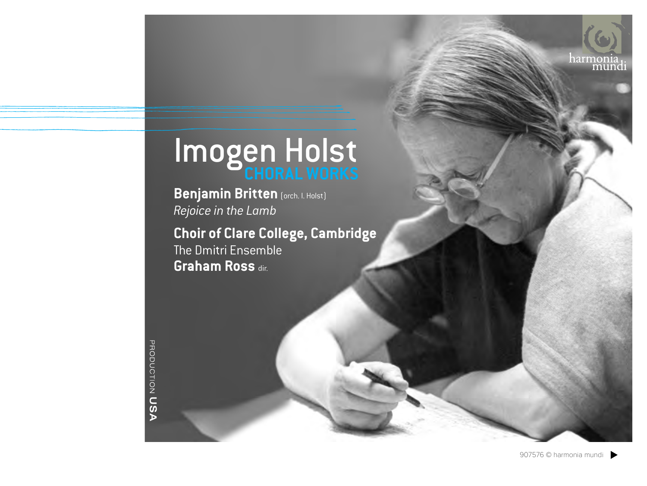# Imogen Holst **CHORAL WORKS**

**Benjamin Britten** (orch. I. Holst) *Rejoice in the Lamb*

**Choir of Clare College, Cambridge** The Dmitri Ensemble **Graham Ross** dir.

**ASU MOLOUDORA** 

907576 © harmonia mundi

harmonia<sub>d</sub>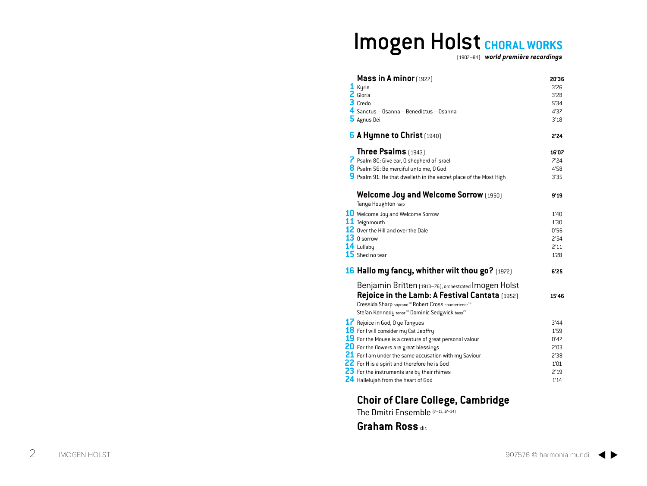# **Imogen Holst CHORAL WO**

(1907–84) *world première recordings*

| Mass in A minor (1927)<br>1 Kyrie<br>2 Gloria<br>3 Credo<br>$4$ Sanctus - Osanna - Benedictus - Osanna<br><b>5</b> Agnus Dei                                                                                                                                                                                                                                                | 20'36<br>3'26<br>3'28<br>5'34<br>4'37<br>3'18                |
|-----------------------------------------------------------------------------------------------------------------------------------------------------------------------------------------------------------------------------------------------------------------------------------------------------------------------------------------------------------------------------|--------------------------------------------------------------|
| <b>6 A Hymne to Christ</b> (1940)                                                                                                                                                                                                                                                                                                                                           | 2'24                                                         |
| Three Psalms [1943]<br>Psalm 80: Give ear, 0 shepherd of Israel<br><b>8</b> Psalm 56: Be merciful unto me, 0 God<br>9 Psalm 91: He that dwelleth in the secret place of the Most High                                                                                                                                                                                       | 16'07<br>7'24<br>4'58<br>3'35                                |
| Welcome Joy and Welcome Sorrow (1950)<br>Tanya Houghton harp                                                                                                                                                                                                                                                                                                                | 9'19                                                         |
| <b>10</b> Welcome Joy and Welcome Sorrow<br>11 Teignmouth<br>12 Over the Hill and over the Dale<br>13 0 sorrow<br>14 Lullaby<br>15 Shed no tear                                                                                                                                                                                                                             | 1'40<br>1'30<br>0'56<br>2'54<br>2'11<br>1'28                 |
| <b>16 Hallo my fancy, whither wilt thou go?</b> [1972]                                                                                                                                                                                                                                                                                                                      | 6'25                                                         |
| Benjamin Britten (1913–76), orchestrated Imogen Holst<br><b>Rejoice in the Lamb: A Festival Cantata</b> (1952)<br>Cressida Sharp soprano <sup>18</sup> Robert Cross countertenor <sup>19</sup><br>Stefan Kennedy tenor <sup>20</sup> Dominic Sedgwick bass <sup>22</sup>                                                                                                    | 15'46                                                        |
| 17 Rejoice in God, 0 ye Tongues<br>18 For I will consider my Cat Jeoffry<br>19 For the Mouse is a creature of great personal valour<br>20 For the flowers are great blessings<br>21 For I am under the same accusation with my Saviour<br>22 For H is a spirit and therefore he is God<br>23 For the instruments are by their rhimes<br>24 Hallelujah from the heart of God | 3'44<br>1'59<br>0'47<br>2'03<br>2'38<br>1'01<br>2'19<br>1'14 |

## **Choir of Clare College, Cambridge**

The Dmitri Ensemble (7-15, 17-24)

**Graham Ross** dir.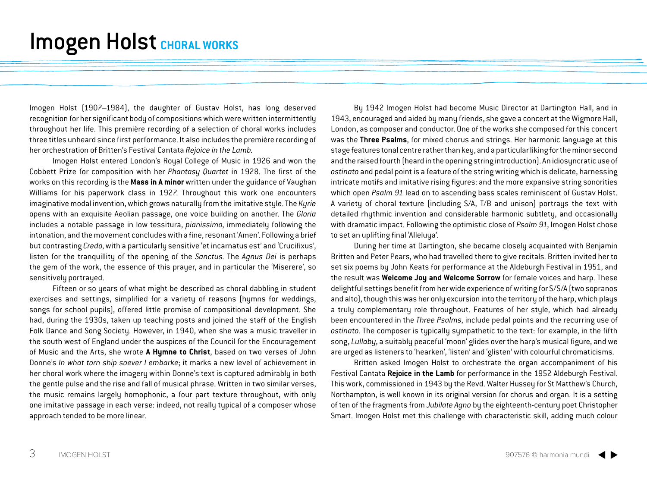Imogen Holst (1907–1984), the daughter of Gustav Holst, has long deserved recognition for her significant body of compositions which were written intermittently throughout her life. This première recording of a selection of choral works includes three titles unheard since first performance. It also includes the première recording of her orchestration of Britten's Festival Cantata *Rejoice in the Lamb.* 

Imogen Holst entered London's Royal College of Music in 1926 and won the Cobbett Prize for composition with her *Phantasy Quartet* in 1928. The first of the works on this recording is the **Mass in A minor** written under the guidance of Vaughan Williams for his paperwork class in 1927. Throughout this work one encounters imaginative modal invention, which grows naturally from the imitative style. The *Kyrie* opens with an exquisite Aeolian passage, one voice building on another. The *Gloria* includes a notable passage in low tessitura, *pianissimo*, immediately following the intonation, and the movement concludes with a fine, resonant 'Amen'. Following a brief but contrasting *Credo*, with a particularly sensitive 'et incarnatus est' and 'Crucifixus', listen for the tranquillity of the opening of the *Sanctus*. The *Agnus Dei* is perhaps the gem of the work, the essence of this prayer, and in particular the 'Miserere', so sensitively portrayed.

Fifteen or so years of what might be described as choral dabbling in student exercises and settings, simplified for a variety of reasons (hymns for weddings, songs for school pupils), offered little promise of compositional development. She had, during the 1930s, taken up teaching posts and joined the staff of the English Folk Dance and Song Society. However, in 1940, when she was a music traveller in the south west of England under the auspices of the Council for the Encouragement of Music and the Arts, she wrote **A Hymne to Christ**, based on two verses of John Donne's *In what torn ship soever I embarke*; it marks a new level of achievement in her choral work where the imagery within Donne's text is captured admirably in both the gentle pulse and the rise and fall of musical phrase. Written in two similar verses, the music remains largely homophonic, a four part texture throughout, with only one imitative passage in each verse: indeed, not really typical of a composer whose approach tended to be more linear.

By 1942 Imogen Holst had become Music Director at Dartington Hall, and in 1943, encouraged and aided by many friends, she gave a concert at the Wigmore Hall, London, as composer and conductor. One of the works she composed for this concert was the **Three Psalms**, for mixed chorus and strings. Her harmonic language at this stage features tonal centre rather than key, and a particular liking for the minor second and the raised fourth (heard in the opening string introduction). An idiosyncratic use of *ostinato* and pedal point is a feature of the string writing which is delicate, harnessing intricate motifs and imitative rising figures: and the more expansive string sonorities which open *Psalm 91* lead on to ascending bass scales reminiscent of Gustav Holst. A variety of choral texture (including S/A, T/B and unison) portrays the text with detailed rhythmic invention and considerable harmonic subtlety, and occasionally with dramatic impact. Following the optimistic close of *Psalm 91*, Imogen Holst chose to set an uplifting final 'Alleluya'.

During her time at Dartington, she became closely acquainted with Benjamin Britten and Peter Pears, who had travelled there to give recitals. Britten invited her to set six poems by John Keats for performance at the Aldeburgh Festival in 1951, and the result was **Welcome Joy and Welcome Sorrow** for female voices and harp. These delightful settings benefit from her wide experience of writing for S/S/A (two sopranos and alto), though this was her only excursion into the territory of the harp, which plays a truly complementary role throughout. Features of her style, which had already been encountered in the *Three Psalms*, include pedal points and the recurring use of *ostinato*. The composer is typically sympathetic to the text: for example, in the fifth song, *Lullaby*, a suitably peaceful 'moon' glides over the harp's musical figure, and we are urged as listeners to 'hearken', 'listen' and 'glisten' with colourful chromaticisms.

Britten asked Imogen Holst to orchestrate the organ accompaniment of his Festival Cantata **Rejoice in the Lamb** for performance in the 1952 Aldeburgh Festival. This work, commissioned in 1943 by the Revd. Walter Hussey for St Matthew's Church, Northampton, is well known in its original version for chorus and organ. It is a setting of ten of the fragments from *Jubilate Agno* by the eighteenth-century poet Christopher Smart. Imogen Holst met this challenge with characteristic skill, adding much colour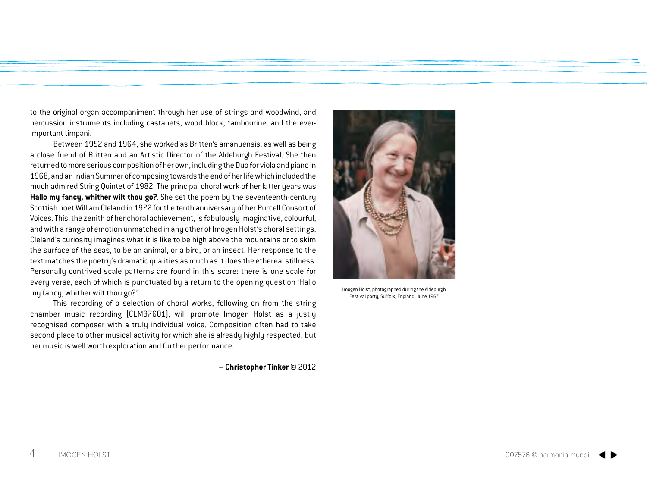to the original organ accompaniment through her use of strings and woodwind, and percussion instruments including castanets, wood block, tambourine, and the everimportant timpani.

Between 1952 and 1964, she worked as Britten's amanuensis, as well as being a close friend of Britten and an Artistic Director of the Aldeburgh Festival. She then returned to more serious composition of her own, including the Duo for viola and piano in 1968, and an Indian Summer of composing towards the end of her life which included the much admired String Quintet of 1982. The principal choral work of her latter years was **Hallo my fancy, whither wilt thou go?**. She set the poem by the seventeenth-century Scottish poet William Cleland in 1972 for the tenth anniversary of her Purcell Consort of Voices. This, the zenith of her choral achievement, is fabulously imaginative, colourful, and with a range of emotion unmatched in any other of Imogen Holst's choral settings. Cleland's curiosity imagines what it is like to be high above the mountains or to skim the surface of the seas, to be an animal, or a bird, or an insect. Her response to the text matches the poetry's dramatic qualities as much as it does the ethereal stillness. Personally contrived scale patterns are found in this score: there is one scale for every verse, each of which is punctuated by a return to the opening question 'Hallo my fancy, whither wilt thou go?'.

This recording of a selection of choral works, following on from the string chamber music recording (CLM37601), will promote Imogen Holst as a justly recognised composer with a truly individual voice. Composition often had to take second place to other musical activity for which she is already highly respected, but her music is well worth exploration and further performance.

– **Christopher Tinker** © 2012



Imogen Holst, photographed during the Aldeburgh Festival party, Suffolk, England, June 1967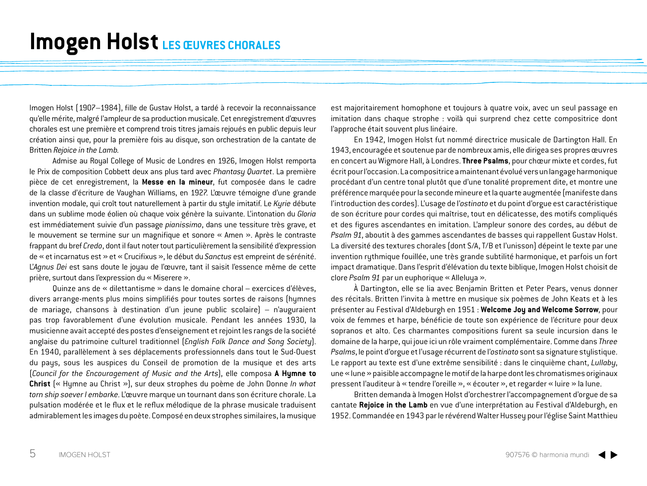Imogen Holst (1907–1984), fille de Gustav Holst, a tardé à recevoir la reconnaissance qu'elle mérite, malgré l'ampleur de sa production musicale. Cet enregistrement d'œuvres chorales est une première et comprend trois titres jamais rejoués en public depuis leur création ainsi que, pour la première fois au disque, son orchestration de la cantate de Britten *Rejoice in the Lamb.* 

Admise au Royal College of Music de Londres en 1926, Imogen Holst remporta le Prix de composition Cobbett deux ans plus tard avec *Phantasy Quartet*. La première pièce de cet enregistrement, la **Messe en la mineur**, fut composée dans le cadre de la classe d'écriture de Vaughan Williams, en 1927. L'œuvre témoigne d'une grande invention modale, qui croît tout naturellement à partir du style imitatif. Le *Kyrie* débute dans un sublime mode éolien où chaque voix génère la suivante. L'intonation du *Gloria* est immédiatement suivie d'un passage *pianissimo*, dans une tessiture très grave, et le mouvement se termine sur un magnifique et sonore « Amen ». Après le contraste frappant du bref *Credo*, dont il faut noter tout particulièrement la sensibilité d'expression de « et incarnatus est » et « Crucifixus », le début du *Sanctus* est empreint de sérénité. L'*Agnus Dei* est sans doute le joyau de l'œuvre, tant il saisit l'essence même de cette prière, surtout dans l'expression du « Miserere ».

Quinze ans de « dilettantisme » dans le domaine choral – exercices d'élèves, divers arrange-ments plus moins simplifiés pour toutes sortes de raisons (hymnes de mariage, chansons à destination d'un jeune public scolaire) – n'auguraient pas trop favorablement d'une évolution musicale. Pendant les années 1930, la musicienne avait accepté des postes d'enseignement et rejoint les rangs de la société anglaise du patrimoine culturel traditionnel (*English Folk Dance and Song Society*). En 1940, parallèlement à ses déplacements professionnels dans tout le Sud-Ouest du pays, sous les auspices du Conseil de promotion de la musique et des arts (*Council for the Encouragement of Music and the Arts*), elle composa **A Hymne to Christ** (« Hymne au Christ »), sur deux strophes du poème de John Donne *In what torn ship soever I embarke*. L'œuvre marque un tournant dans son écriture chorale. La pulsation modérée et le flux et le reflux mélodique de la phrase musicale traduisent admirablement les images du poète. Composé en deux strophes similaires, la musique

est majoritairement homophone et toujours à quatre voix, avec un seul passage en imitation dans chaque strophe : voilà qui surprend chez cette compositrice dont l'approche était souvent plus linéaire.

En 1942, Imogen Holst fut nommé directrice musicale de Dartington Hall. En 1943, encouragée et soutenue par de nombreux amis, elle dirigea ses propres œuvres en concert au Wigmore Hall, à Londres. **Three Psalms**, pour chœur mixte et cordes, fut écrit pour l'occasion. La compositrice a maintenant évolué vers un langage harmonique procédant d'un centre tonal plutôt que d'une tonalité proprement dite, et montre une préférence marquée pour la seconde mineure et la quarte augmentée (manifeste dans l'introduction des cordes). L'usage de l'*ostinato* et du point d'orgue est caractéristique de son écriture pour cordes qui maîtrise, tout en délicatesse, des motifs compliqués et des figures ascendantes en imitation. L'ampleur sonore des cordes, au début de *Psalm 91*, aboutit à des gammes ascendantes de basses qui rappellent Gustav Holst. La diversité des textures chorales (dont S/A, T/B et l'unisson) dépeint le texte par une invention rythmique fouillée, une très grande subtilité harmonique, et parfois un fort impact dramatique. Dans l'esprit d'élévation du texte biblique, Imogen Holst choisit de clore *Psalm 91* par un euphorique « Alleluya ».

À Dartington, elle se lia avec Benjamin Britten et Peter Pears, venus donner des récitals. Britten l'invita à mettre en musique six poèmes de John Keats et à les présenter au Festival d'Aldeburgh en 1951 : **Welcome Joy and Welcome Sorrow**, pour voix de femmes et harpe, bénéficie de toute son expérience de l'écriture pour deux sopranos et alto. Ces charmantes compositions furent sa seule incursion dans le domaine de la harpe, qui joue ici un rôle vraiment complémentaire. Comme dans *Three Psalms*, le point d'orgue et l'usage récurrent de l'*ostinato* sont sa signature stylistique. Le rapport au texte est d'une extrême sensibilité : dans le cinquième chant, *Lullaby*, une « lune » paisible accompagne le motif de la harpe dont les chromatismes originaux pressent l'auditeur à « tendre l'oreille », « écouter », et regarder « luire » la lune.

Britten demanda à Imogen Holst d'orchestrer l'accompagnement d'orgue de sa cantate **Rejoice in the Lamb** en vue d'une interprétation au Festival d'Aldeburgh, en 1952. Commandée en 1943 par le révérend Walter Hussey pour l'église Saint Matthieu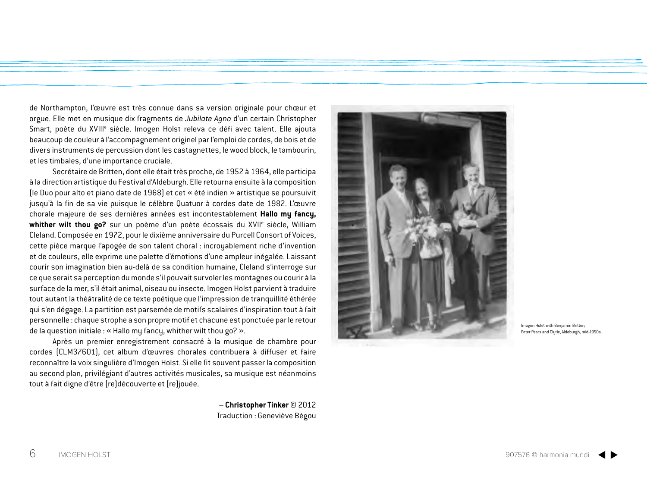de Northampton, l'œuvre est très connue dans sa version originale pour chœur et orgue. Elle met en musique dix fragments de *Jubilate Agno* d'un certain Christopher Smart, poète du XVIIIª siècle. Imogen Holst releva ce défi avec talent. Elle ajouta beaucoup de couleur à l'accompagnement originel par l'emploi de cordes, de bois et de divers instruments de percussion dont les castagnettes, le wood block, le tambourin, et les timbales, d'une importance cruciale.

Secrétaire de Britten, dont elle était très proche, de 1952 à 1964, elle participa à la direction artistique du Festival d'Aldeburgh. Elle retourna ensuite à la composition (le Duo pour alto et piano date de 1968) et cet « été indien » artistique se poursuivit jusqu'à la fin de sa vie puisque le célèbre Quatuor à cordes date de 1982. L'œuvre chorale majeure de ses dernières années est incontestablement **Hallo my fancy, whither wilt thou go?** sur un poème d'un poète écossais du XVII<sup>e</sup> siècle, William Cleland. Composée en 1972, pour le dixième anniversaire du Purcell Consort of Voices, cette pièce marque l'apogée de son talent choral : incroyablement riche d'invention et de couleurs, elle exprime une palette d'émotions d'une ampleur inégalée. Laissant courir son imagination bien au-delà de sa condition humaine, Cleland s'interroge sur ce que serait sa perception du monde s'il pouvait survoler les montagnes ou courir à la surface de la mer, s'il était animal, oiseau ou insecte. Imogen Holst parvient à traduire tout autant la théâtralité de ce texte poétique que l'impression de tranquillité éthérée qui s'en dégage. La partition est parsemée de motifs scalaires d'inspiration tout à fait personnelle : chaque strophe a son propre motif et chacune est ponctuée par le retour de la question initiale : « Hallo my fancy, whither wilt thou go? ».

Après un premier enregistrement consacré à la musique de chambre pour cordes (CLM37601), cet album d'œuvres chorales contribuera à diffuser et faire reconnaître la voix singulière d'Imogen Holst. Si elle fit souvent passer la composition au second plan, privilégiant d'autres activités musicales, sa musique est néanmoins tout à fait digne d'être (re)découverte et (re)jouée.

> – **Christopher Tinker** © 2012 Traduction : Geneviève Bégou



Imogen Holst with Benjamin Britten, Peter Pears and Clutie, Aldeburgh, mid-1950s.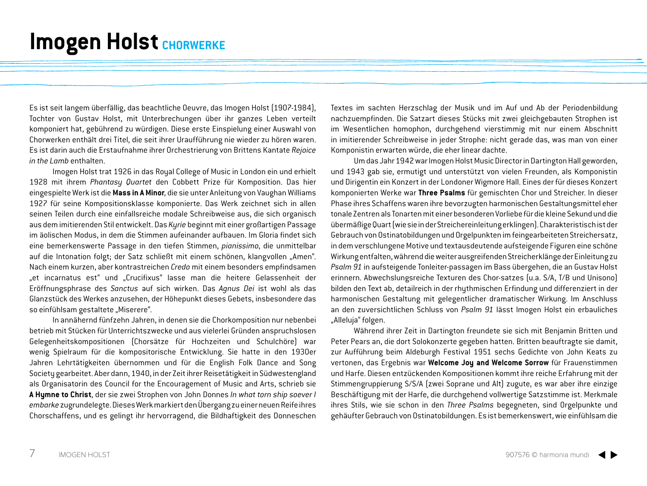Es ist seit langem überfällig, das beachtliche Oeuvre, das Imogen Holst (1907-1984), Tochter von Gustav Holst, mit Unterbrechungen über ihr ganzes Leben verteilt komponiert hat, gebührend zu würdigen. Diese erste Einspielung einer Auswahl von Chorwerken enthält drei Titel, die seit ihrer Uraufführung nie wieder zu hören waren. Es ist darin auch die Erstaufnahme ihrer Orchestrierung von Brittens Kantate *Rejoice in the Lamb* enthalten.

Imogen Holst trat 1926 in das Royal College of Music in London ein und erhielt 1928 mit ihrem *Phantasy Quartet* den Cobbett Prize für Komposition. Das hier eingespielte Werk ist die **Mass in A Minor**, die sie unter Anleitung von Vaughan Williams 1927 für seine Kompositionsklasse komponierte. Das Werk zeichnet sich in allen seinen Teilen durch eine einfallsreiche modale Schreibweise aus, die sich organisch aus dem imitierenden Stil entwickelt. Das *Kyrie* beginnt mit einer großartigen Passage im äolischen Modus, in dem die Stimmen aufeinander aufbauen. Im Gloria findet sich eine bemerkenswerte Passage in den tiefen Stimmen, *pianissimo*, die unmittelbar auf die Intonation folgt; der Satz schließt mit einem schönen, klangvollen "Amen". Nach einem kurzen, aber kontrastreichen *Credo* mit einem besonders empfindsamen "et incarnatus est" und "Crucifixus" lasse man die heitere Gelassenheit der Eröffnungsphrase des *Sanctus* auf sich wirken. Das *Agnus Dei* ist wohl als das Glanzstück des Werkes anzusehen, der Höhepunkt dieses Gebets, insbesondere das so einfühlsam gestaltete "Miserere".

In annähernd fünfzehn Jahren, in denen sie die Chorkomposition nur nebenbei betrieb mit Stücken für Unterrichtszwecke und aus vielerlei Gründen anspruchslosen Gelegenheitskompositionen (Chorsätze für Hochzeiten und Schulchöre) war wenig Spielraum für die kompositorische Entwicklung. Sie hatte in den 1930er Jahren Lehrtätigkeiten übernommen und für die English Folk Dance and Song Society gearbeitet. Aber dann, 1940, in der Zeit ihrer Reisetätigkeit in Südwestengland als Organisatorin des Council for the Encouragement of Music and Arts, schrieb sie **A Hymne to Christ**, der sie zwei Strophen von John Donnes *In what torn ship soever I embarke* zugrundelegte. Dieses Werk markiert den Übergang zu einer neuen Reife ihres Chorschaffens, und es gelingt ihr hervorragend, die Bildhaftigkeit des Donneschen

Textes im sachten Herzschlag der Musik und im Auf und Ab der Periodenbildung nachzuempfinden. Die Satzart dieses Stücks mit zwei gleichgebauten Strophen ist im Wesentlichen homophon, durchgehend vierstimmig mit nur einem Abschnitt in imitierender Schreibweise in jeder Strophe: nicht gerade das, was man von einer Komponistin erwarten würde, die eher linear dachte.

Um das Jahr 1942 war Imogen Holst Music Director in Dartington Hall geworden, und 1943 gab sie, ermutigt und unterstützt von vielen Freunden, als Komponistin und Dirigentin ein Konzert in der Londoner Wigmore Hall. Eines der für dieses Konzert komponierten Werke war **Three Psalms** für gemischten Chor und Streicher. In dieser Phase ihres Schaffens waren ihre bevorzugten harmonischen Gestaltungsmittel eher tonale Zentren als Tonarten mit einer besonderen Vorliebe für die kleine Sekund und die übermäßige Quart (wie sie in der Streichereinleitung erklingen). Charakteristisch ist der Gebrauch von Ostinatobildungen und Orgelpunkten im feingearbeiteten Streichersatz, in dem verschlungene Motive und textausdeutende aufsteigende Figuren eine schöne Wirkung entfalten, während die weiter ausgreifenden Streicherklänge der Einleitung zu *Psalm 91* in aufsteigende Tonleiter-passagen im Bass übergehen, die an Gustav Holst erinnern. Abwechslungsreiche Texturen des Chor-satzes (u.a. S/A, T/B und Unisono) bilden den Text ab, detailreich in der rhythmischen Erfindung und differenziert in der harmonischen Gestaltung mit gelegentlicher dramatischer Wirkung. Im Anschluss an den zuversichtlichen Schluss von *Psalm 91* lässt Imogen Holst ein erbauliches "Alleluja" folgen.

Während ihrer Zeit in Dartington freundete sie sich mit Benjamin Britten und Peter Pears an, die dort Solokonzerte gegeben hatten. Britten beauftragte sie damit, zur Aufführung beim Aldeburgh Festival 1951 sechs Gedichte von John Keats zu vertonen, das Ergebnis war **Welcome Joy and Welcome Sorrow** für Frauenstimmen und Harfe. Diesen entzückenden Kompositionen kommt ihre reiche Erfahrung mit der Stimmengruppierung S/S/A (zwei Soprane und Alt) zugute, es war aber ihre einzige Beschäftigung mit der Harfe, die durchgehend vollwertige Satzstimme ist. Merkmale ihres Stils, wie sie schon in den *Three Psalms* begegneten, sind Orgelpunkte und gehäufter Gebrauch von Ostinatobildungen. Es ist bemerkenswert, wie einfühlsam die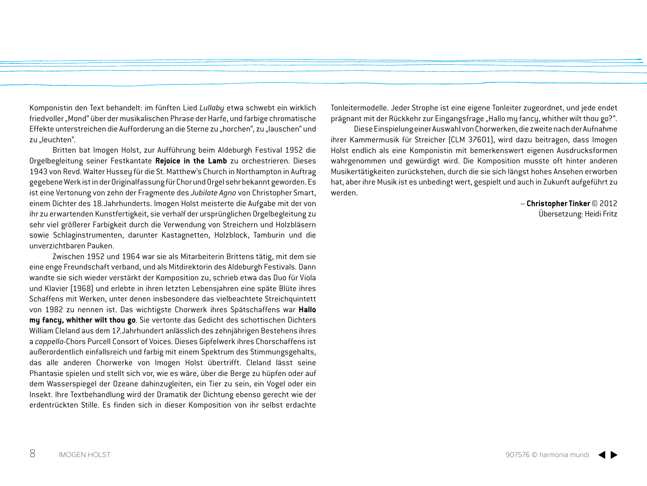Komponistin den Text behandelt: im fünften Lied *Lullaby* etwa schwebt ein wirklich friedvoller "Mond" über der musikalischen Phrase der Harfe, und farbige chromatische Effekte unterstreichen die Aufforderung an die Sterne zu "horchen", zu "lauschen" und zu "leuchten".

Britten bat Imogen Holst, zur Aufführung beim Aldeburgh Festival 1952 die Orgelbegleitung seiner Festkantate **Rejoice in the Lamb** zu orchestrieren. Dieses 1943 von Revd. Walter Hussey für die St. Matthew's Church in Northampton in Auftrag gegebene Werk ist in der Originalfassung für Chor und Orgel sehr bekannt geworden. Es ist eine Vertonung von zehn der Fragmente des *Jubilate Agno* von Christopher Smart, einem Dichter des 18.Jahrhunderts. Imogen Holst meisterte die Aufgabe mit der von ihr zu erwartenden Kunstfertigkeit, sie verhalf der ursprünglichen Orgelbegleitung zu sehr viel größerer Farbigkeit durch die Verwendung von Streichern und Holzbläsern sowie Schlaginstrumenten, darunter Kastagnetten, Holzblock, Tamburin und die unverzichtbaren Pauken.

Zwischen 1952 und 1964 war sie als Mitarbeiterin Brittens tätig, mit dem sie eine enge Freundschaft verband, und als Mitdirektorin des Aldeburgh Festivals. Dann wandte sie sich wieder verstärkt der Komposition zu, schrieb etwa das Duo für Viola und Klavier (1968) und erlebte in ihren letzten Lebensjahren eine späte Blüte ihres Schaffens mit Werken, unter denen insbesondere das vielbeachtete Streichquintett von 1982 zu nennen ist. Das wichtigste Chorwerk ihres Spätschaffens war **Hallo my fancy, whither wilt thou go**. Sie vertonte das Gedicht des schottischen Dichters William Cleland aus dem 17.Jahrhundert anlässlich des zehnjährigen Bestehens ihres a *cappella*-Chors Purcell Consort of Voices. Dieses Gipfelwerk ihres Chorschaffens ist außerordentlich einfallsreich und farbig mit einem Spektrum des Stimmungsgehalts, das alle anderen Chorwerke von Imogen Holst übertrifft. Cleland lässt seine Phantasie spielen und stellt sich vor, wie es wäre, über die Berge zu hüpfen oder auf dem Wasserspiegel der Ozeane dahinzugleiten, ein Tier zu sein, ein Vogel oder ein Insekt. Ihre Textbehandlung wird der Dramatik der Dichtung ebenso gerecht wie der erdentrückten Stille. Es finden sich in dieser Komposition von ihr selbst erdachte

Tonleitermodelle. Jeder Strophe ist eine eigene Tonleiter zugeordnet, und jede endet prägnant mit der Rückkehr zur Eingangsfrage "Hallo my fancy, whither wilt thou go?".

Diese Einspielung einer Auswahl von Chorwerken, die zweite nach der Aufnahme ihrer Kammermusik für Streicher (CLM 37601), wird dazu beitragen, dass Imogen Holst endlich als eine Komponistin mit bemerkenswert eigenen Ausdrucksformen wahrgenommen und gewürdigt wird. Die Komposition musste oft hinter anderen Musikertätigkeiten zurückstehen, durch die sie sich längst hohes Ansehen erworben hat, aber ihre Musik ist es unbedingt wert, gespielt und auch in Zukunft aufgeführt zu werden.

> – **Christopher Tinker** © 2012 Übersetzung: Heidi Fritz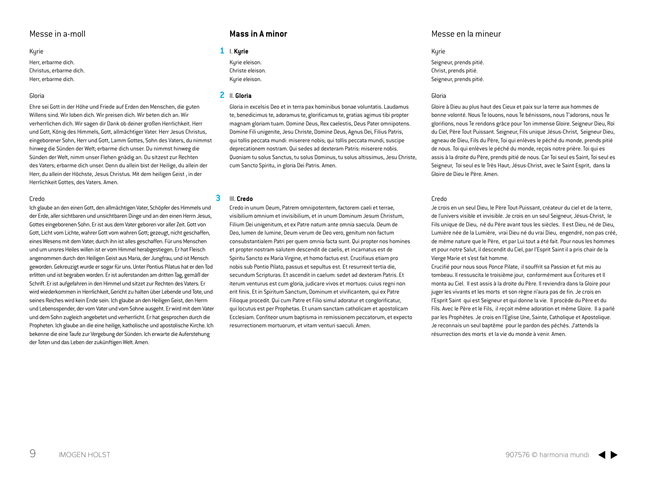#### Messe in a-moll

#### Kyrie

Herr, erbarme dich. Christus, erbarme dich. Herr, erbarme dich.

#### Gloria

Ehre sei Gott in der Höhe und Friede auf Erden den Menschen, die guten Willens sind. Wir loben dich. Wir preisen dich. Wir beten dich an. Wir verherrlichen dich. Wir sagen dir Dank ob deiner großen Herrlichkeit. Herr und Gott, König des Himmels, Gott, allmächtiger Vater. Herr Jesus Christus, eingeborener Sohn, Herr und Gott, Lamm Gottes, Sohn des Vaters, du nimmst hinweg die Sünden der Welt; erbarme dich unser. Du nimmst hinweg die Sünden der Welt, nimm unser Flehen gnädig an. Du sitzest zur Rechten des Vaters; erbarme dich unser. Denn du allein bist der Heilige, du allein der Herr, du allein der Höchste, Jesus Christus. Mit dem heiligen Geist , in der Herrlichkeit Gottes, des Vaters. Amen.

#### Credo

Ich glaube an den einen Gott, den allmächtigen Vater, Schöpfer des Himmels und der Erde, aller sichtbaren und unsichtbaren Dinge und an den einen Herrn Jesus, Gottes eingeborenen Sohn. Er ist aus dem Vater geboren vor aller Zeit. Gott von Gott, Licht vom Lichte, wahrer Gott vom wahren Gott; gezeugt, nicht geschaffen, eines Wesens mit dem Vater; durch ihn ist alles geschaffen. Für uns Menschen und um unsres Heiles willen ist er vom Himmel herabgestiegen. Er hat Fleisch angenommen durch den Heiligen Geist aus Maria, der Jungfrau, und ist Mensch geworden. Gekreuzigt wurde er sogar für uns. Unter Pontius Pilatus hat er den Tod erlitten und ist begraben worden. Er ist auferstanden am dritten Tag, gemäß der Schrift. Er ist aufgefahren in den Himmel und sitzet zur Rechten des Vaters. Er wird wiederkommen in Herrlichkeit, Gericht zu halten über Lebende und Tote, und seines Reiches wird kein Ende sein. Ich glaube an den Heiligen Geist, den Herrn und Lebensspender, der vom Vater und vom Sohne ausgeht. Er wird mit dem Vater und dem Sohn zugleich angebetet und verherrlicht. Er hat gesprochen durch die Propheten. Ich glaube an die eine heilige, katholische und apostolische Kirche. Ich bekenne die eine Taufe zur Vergebung der Sünden. Ich erwarte die Auferstehung der Toten und das Leben der zukünftigen Welt. Amen.

## **Mass in A minor**

#### **1** I. **Kyrie**

Kyrie eleison. Christe eleison. Kyrie eleison.

## **2** II. **Gloria**

Gloria in excelsis Deo et in terra pax hominibus bonae voluntatis. Laudamus te, benedicimus te, adoramus te, glorificamus te, gratias agimus tibi propter magnam gloriam tuam. Domine Deus, Rex caelestis, Deus Pater omnipotens. Domine Fili unigenite, Jesu Christe, Domine Deus, Agnus Dei, Filius Patris, qui tollis peccata mundi: miserere nobis; qui tollis peccata mundi, suscipe deprecationem nostram. Qui sedes ad dexteram Patris: miserere nobis. Quoniam tu solus Sanctus, tu solus Dominus, tu solus altissimus, Jesu Christe, cum Sancto Spiritu, in gloria Dei Patris. Amen.

#### **3** III. **Credo**

Credo in unum Deum, Patrem omnipotentem, factorem caeli et terrae, visibilium omnium et invisibilium, et in unum Dominum Jesum Christum, Filium Dei unigenitum, et ex Patre natum ante omnia saecula. Deum de Deo, lumen de lumine, Deum verum de Deo vero, genitum non factum consubstantialem Patri per quem omnia facta sunt. Qui propter nos homines et propter nostram salutem descendit de caelis, et incarnatus est de Spiritu Sancto ex Maria Virgine, et homo factus est. Crucifixus etiam pro nobis sub Pontio Pilato, passus et sepultus est. Et resurrexit tertia die, secundum Scripturas. Et ascendit in caelum: sedet ad dexteram Patris. Et iterum venturus est cum gloria, judicare vivos et mortuos: cuius regni non erit finis. Et in Spiritum Sanctum, Dominum et vivificantem, qui ex Patre Filioque procedit. Qui cum Patre et Filio simul adoratur et conglorificatur, qui locutus est per Prophetas. Et unam sanctam catholicam et apostolicam Ecclesiam. Confiteor unum baptisma in remissionem peccatorum, et expecto resurrectionem mortuorum, et vitam venturi saeculi. Amen.

#### Messe en la mineur

Kyrie Seigneur, prends pitié. Christ, prends pitié. Seigneur, prends pitié.

#### Gloria

Gloire à Dieu au plus haut des Cieux et paix sur la terre aux hommes de bonne volonté. Nous Te louons, nous Te bénissons, nous T'adorons, nous Te glorifions, nous Te rendons grâce pour Ton immense Gloire. Seigneur Dieu, Roi du Ciel, Père Tout Puissant. Seigneur, Fils unique Jésus-Christ, Seigneur Dieu, agneau de Dieu, Fils du Père, Toi qui enlèves le péché du monde, prends pitié de nous. Toi qui enlèves le péché du monde, reçois notre prière. Toi qui es assis à la droite du Père, prends pitié de nous. Car Toi seul es Saint, Toi seul es Seigneur, Toi seul es le Très Haut, Jésus-Christ, avec le Saint Esprit, dans la Gloire de Dieu le Père. Amen.

#### Credo 3

Je crois en un seul Dieu, le Père Tout-Puissant, créateur du ciel et de la terre, de l'univers visible et invisible. Je crois en un seul Seigneur, Jésus-Christ, le Fils unique de Dieu, né du Père avant tous les siècles. Il est Dieu, né de Dieu, Lumière née de la Lumière, vrai Dieu né du vrai Dieu, engendré, non pas créé, de même nature que le Père, et par Lui tout a été fait. Pour nous les hommes et pour notre Salut, il descendit du Ciel, par l'Esprit Saint il a pris chair de la Vierge Marie et s'est fait homme.

Crucifié pour nous sous Ponce Pilate, il souffrit sa Passion et fut mis au tombeau. Il ressuscita le troisième jour, conformément aux Écritures et Il monta au Ciel. Il est assis à la droite du Père. Il reviendra dans la Gloire pour juger les vivants et les morts et son règne n'aura pas de fin. Je crois en l'Esprit Saint qui est Seigneur et qui donne la vie. Il procède du Père et du Fils. Avec le Père et le Fils, il reçoit même adoration et même Gloire. Il a parlé par les Prophètes. Je crois en l'Eglise Une, Sainte, Catholique et Apostolique. Je reconnais un seul baptême pour le pardon des péchés. J'attends la résurrection des morts et la vie du monde à venir. Amen.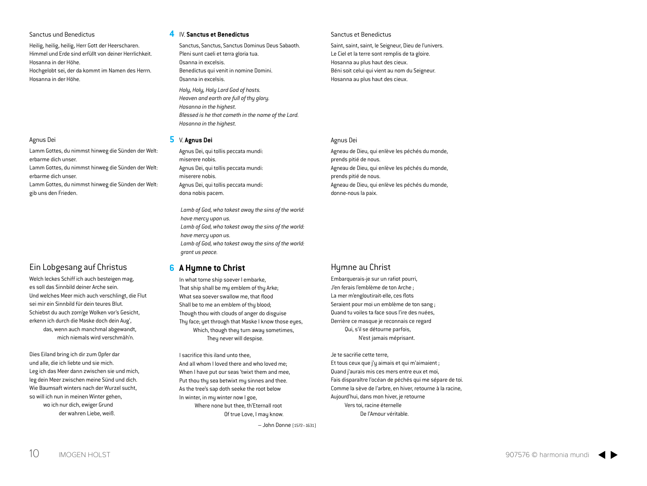#### **Sanctus und Benedictus**

Heilig, heilig, heilig, Herr Gott der Heerscharen. Himmel und Erde sind erfüllt von deiner Herrlichkeit. Hosanna in der Höhe. Hochgelobt sei, der da kommt im Namen des Herrn. Hosanna in der Höhe.

### Agnus Dei

Lamm Gottes, du nimmst hinweg die Sünden der Welt: erbarme dich unser.

Lamm Gottes, du nimmst hinweg die Sünden der Welt: erbarme dich unser.

Lamm Gottes, du nimmst hinweg die Sünden der Welt: gib uns den Frieden.

## Ein Lobgesang auf Christus

Welch leckes Schiff ich auch besteigen mag, es soll das Sinnbild deiner Arche sein. Und welches Meer mich auch verschlingt, die Flut sei mir ein Sinnbild für dein teures Blut. Schiebst du auch zorn'ge Wolken vor's Gesicht, erkenn ich durch die Maske doch dein Aug', das, wenn auch manchmal abgewandt, mich niemals wird verschmäh'n.

Dies Eiland bring ich dir zum Opfer dar und alle, die ich liebte und sie mich. Leg ich das Meer dann zwischen sie und mich, leg dein Meer zwischen meine Sünd und dich. Wie Baumsaft winters nach der Wurzel sucht, so will ich nun in meinen Winter gehen, wo ich nur dich, ewiger Grund der wahren Liebe, weiß.

#### **4** IV. **Sanctus et Benedictus**

**5** V. **Agnus Dei**

Sanctus, Sanctus, Sanctus Dominus Deus Sabaoth. Pleni sunt caeli et terra gloria tua. Osanna in excelsis. Benedictus qui venit in nomine Domini. Osanna in excelsis. *Holy, Holy, Holy Lord God of hosts. Heaven and earth are full of thy glory. Hosanna in the highest. Blessed is he that cometh in the name of the Lord. Hosanna in the highest.*

#### Sanctus et Benedictus

Saint, saint, saint, le Seigneur, Dieu de l'univers. Le Ciel et la terre sont remplis de ta gloire. Hosanna au plus haut des cieux. Béni soit celui qui vient au nom du Seigneur. Hosanna au plus haut des cieux.

Agnus Dei, qui tollis peccata mundi: miserere nobis. Agnus Dei, qui tollis peccata mundi: miserere nobis. Agnus Dei, qui tollis peccata mundi: dona nobis pacem.

*Lamb of God, who takest away the sins of the world: have mercy upon us. Lamb of God, who takest away the sins of the world: have mercy upon us. Lamb of God, who takest away the sins of the world: grant us peace.*

## **6 A Hymne to Christ**

In what torne ship soever I embarke, That ship shall be my emblem of thy Arke; What sea soever swallow me, that flood Shall be to me an emblem of thy blood; Though thou with clouds of anger do disguise Thy face; yet through that Maske I know those eyes, Which, though they turn away sometimes, They never will despise.

I sacrifice this iland unto thee, And all whom I loved there and who loved me; When I have put our seas 'twixt them and mee, Put thou thy sea betwixt my sinnes and thee. As the tree's sap doth seeke the root below In winter, in my winter now I goe, Where none but thee, th'Eternall root Of true Love, I may know.

– John Donne (1572–1631)

#### Agnus Dei

Agneau de Dieu, qui enlève les péchés du monde, prends pitié de nous. Agneau de Dieu, qui enlève les péchés du monde, prends pitié de nous. Agneau de Dieu, qui enlève les péchés du monde, donne-nous la paix.

## Hymne au Christ

Embarquerais-je sur un rafiot pourri, J'en ferais l'emblème de ton Arche ; La mer m'engloutirait-elle, ces flots Seraient pour moi un emblème de ton sang ; Quand tu voiles ta face sous l'ire des nuées, Derrière ce masque je reconnais ce regard Qui, s'il se détourne parfois, N'est jamais méprisant.

#### Je te sacrifie cette terre,

Et tous ceux que j'y aimais et qui m'aimaient ; Quand j'aurais mis ces mers entre eux et moi, Fais disparaître l'océan de péchés qui me sépare de toi. Comme la sève de l'arbre, en hiver, retourne à la racine, Aujourd'hui, dans mon hiver, je retourne Vers toi, racine éternelle De l'Amour véritable.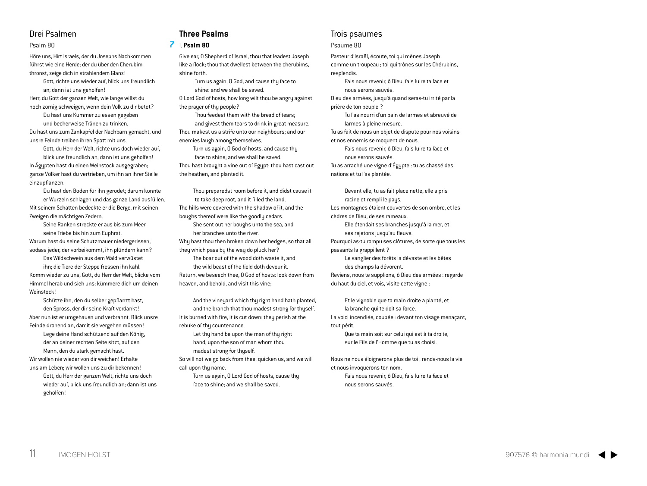## Drei Psalmen

#### Psalm 80

Höre uns, Hirt Israels, der du Josephs Nachkommen führst wie eine Herde; der du über den Cherubim thronst, zeige dich in strahlendem Glanz!

> Gott, richte uns wieder auf, blick uns freundlich an; dann ist uns geholfen!

Herr, du Gott der ganzen Welt, wie lange willst du noch zornig schweigen, wenn dein Volk zu dir betet? Du hast uns Kummer zu essen gegeben und becherweise Tränen zu trinken.

Du hast uns zum Zankapfel der Nachbarn gemacht, und unsre Feinde treiben ihren Spott mit uns.

Gott, du Herr der Welt, richte uns doch wieder auf, blick uns freundlich an; dann ist uns geholfen! In Ägypten hast du einen Weinstock ausgegraben; ganze Völker hast du vertrieben, um ihn an ihrer Stelle einzupflanzen.

 Du hast den Boden für ihn gerodet; darum konnte er Wurzeln schlagen und das ganze Land ausfüllen. Mit seinem Schatten bedeckte er die Berge, mit seinen Zweigen die mächtigen Zedern.

> Seine Ranken streckte er aus bis zum Meer, seine Triebe bis hin zum Euphrat.

Warum hast du seine Schutzmauer niedergerissen, sodass jeder, der vorbeikommt, ihn plündern kann? Das Wildschwein aus dem Wald verwüstet ihn; die Tiere der Steppe fressen ihn kahl. Komm wieder zu uns, Gott, du Herr der Welt, blicke vom Himmel herab und sieh uns; kümmere dich um deinen Weinstock!

 Schütze ihn, den du selber gepflanzt hast, den Spross, der dir seine Kraft verdankt! Aber nun ist er umgehauen und verbrannt. Blick unsre Feinde drohend an, damit sie vergehen müssen! Lege deine Hand schützend auf den König, der an deiner rechten Seite sitzt, auf den Mann, den du stark gemacht hast. Wir wollen nie wieder von dir weichen! Erhalte uns am Leben; wir wollen uns zu dir bekennen! Gott, du Herr der ganzen Welt, richte uns doch wieder auf, blick uns freundlich an; dann ist uns geholfen!

## **Three Psalms**

#### **7** I. **Psalm 80**

Give ear, O Shepherd of Israel, thou that leadest Joseph like a flock; thou that dwellest between the cherubims, shine forth.

Turn us again, O God, and cause thy face to shine: and we shall be saved.

O Lord God of hosts, how long wilt thou be angry against the prayer of thy people?

Thou feedest them with the bread of tears; and givest them tears to drink in great measure. Thou makest us a strife unto our neighbours; and our enemies laugh among themselves.

Turn us again, O God of hosts, and cause thy face to shine; and we shall be saved. Thou hast brought a vine out of Egypt: thou hast cast out the heathen, and planted it.

Thou preparedst room before it, and didst cause it to take deep root, and it filled the land. The hills were covered with the shadow of it, and the boughs thereof were like the goodly cedars.

She sent out her boughs unto the sea, and her branches unto the river.

Why hast thou then broken down her hedges, so that all they which pass by the way do pluck her?

The boar out of the wood doth waste it, and the wild beast of the field doth devour it. Return, we beseech thee, O God of hosts: look down from heaven, and behold, and visit this vine;

And the vineyard which thy right hand hath planted, and the branch that thou madest strong for thyself. It is burned with fire, it is cut down: they perish at the rebuke of thy countenance.

Let thy hand be upon the man of thy right hand, upon the son of man whom thou madest strong for thyself.

So will not we go back from thee: quicken us, and we will call upon thy name.

> Turn us again, O Lord God of hosts, cause thy face to shine; and we shall be saved.

#### Trois psaumes

#### Psaume 80

Pasteur d'Israël, écoute, toi qui mènes Joseph comme un troupeau ; toi qui trônes sur les Chérubins, resplendis.

Fais nous revenir, ô Dieu, fais luire ta face et nous serons sauvés. Dieu des armées, jusqu'à quand seras-tu irrité par la prière de ton peuple ? Tu l'as nourri d'un pain de larmes et abreuvé de larmes à pleine mesure. Tu as fait de nous un objet de dispute pour nos voisins et nos ennemis se moquent de nous. Fais nous revenir, ô Dieu, fais luire ta face et nous serons sauvés. Tu as arraché une vigne d'Égypte : tu as chassé des

nations et tu l'as plantée.

Devant elle, tu as fait place nette, elle a pris racine et rempli le pays. Les montagnes étaient couvertes de son ombre, et les cèdres de Dieu, de ses rameaux.

Elle étendait ses branches jusqu'à la mer, et ses rejetons jusqu'au fleuve.

Pourquoi as-tu rompu ses clôtures, de sorte que tous les passants la grappillent ? Le sanglier des forêts la dévaste et les bêtes

des champs la dévorent. Reviens, nous te supplions, ô Dieu des armées : regarde du haut du ciel, et vois, visite cette vigne ;

Et le vignoble que ta main droite a planté, et la branche qui te doit sa force. La voici incendiée, coupée : devant ton visage menaçant, tout périt.

Que ta main soit sur celui qui est à ta droite, sur le Fils de l'Homme que tu as choisi.

Nous ne nous éloignerons plus de toi : rends-nous la vie et nous invoquerons ton nom. Fais nous revenir, ô Dieu, fais luire ta face et nous serons sauvés.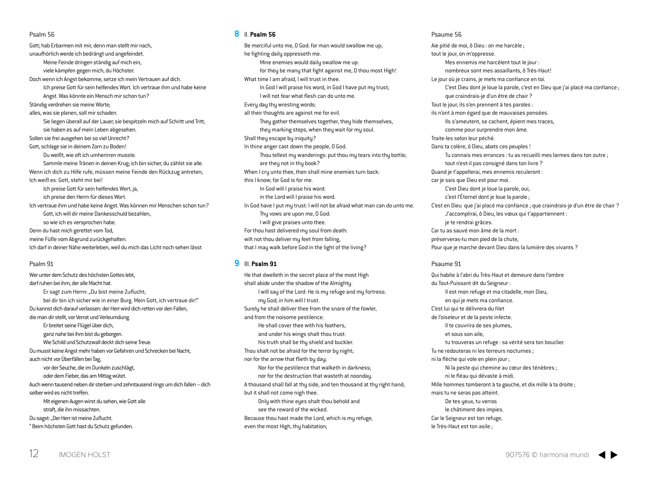#### Psalm 56 **8**

Gott; hab Erbarmen mit mir, denn man stellt mir nach, unaufhörlich werde ich bedrängt und angefeindet. Meine Feinde dringen ständig auf mich ein, viele kämpfen gegen mich, du Höchster. Doch wenn ich Angst bekomme, setze ich mein Vertrauen auf dich. Ich preise Gott für sein helfendes Wort. Ich vertraue ihm und habe keine Angst. Was könnte ein Mensch mir schon tun? Ständig verdrehen sie meine Worte; alles, was sie planen, soll mir schaden. Sie liegen überall auf der Lauer; sie bespitzeln mich auf Schritt und Tritt; sie haben es auf mein Leben abgesehen. Sollen sie frei ausgehen bei so viel Unrecht? Gott, schlage sie in deinem Zorn zu Boden! Du weißt, wie oft ich umherirren musste. Sammle meine Tränen in deinen Krug; ich bin sicher, du zählst sie alle. Wenn ich dich zu Hilfe rufe, müssen meine Feinde den Rückzug antreten; Ich weiß es: Gott, steht mir bei! Ich preise Gott für sein helfendes Wort, ja, ich preise den Herrn für dieses Wort. Ich vertraue ihm und habe keine Angst. Was können mir Menschen schon tun? Gott, ich will dir meine Dankesschuld bezahlen, so wie ich es versprochen habe. Denn du hast mich gerettet vom Tod, meine Füße vom Abgrund zurückgehalten. Ich darf in deiner Nähe weiterleben, weil du mich das Licht noch sehen lässt

#### Psalm 91

Wer unter dem Schutz des höchsten Gottes lebt, darf ruhen bei ihm, der alle Macht hat. Er sagt zum Herrn: "Du bist meine Zuflucht; bei dir bin ich sicher wie in einer Burg. Mein Gott, ich vertraue dir!" Du kannst dich darauf verlassen: der Herr wird dich retten vor den Fallen, die man dir stellt, vor Verrat und Verleumdung. Er breitet seine Flügel über dich, ganz nahe bei ihm bist du geborgen. Wie Schild und Schutzwall deckt dich seine Treue. Du musst keine Angst mehr haben vor Gefahren und Schrecken bei Nacht, auch nicht vor Überfällen bei Tag, vor der Seuche, die im Dunkeln zuschlägt, oder dem Fieber, das am Mittag wütet. Auch wenn tausend neben dir sterben und zehntausend rings um dich fallen – dich selber wird es nicht treffen. Mit eigenen Augen wirst du sehen, wie Gott alle straft, die ihn missachten. Du sagst: "Der Herr ist meine Zuflucht. " Beim höchsten Gott hast du Schutz gefunden.

#### **8** II. **Psalm 56**

Be merciful unto me, O God: for man would swallow me up; he fighting daily oppresseth me. Mine enemies would daily swallow me up: for they be many that fight against me, O thou most High! What time I am afraid, I will trust in thee. In God I will praise his word, in God I have put my trust; I will not fear what flesh can do unto me. Every day thy wresting words: all their thoughts are against me for evil. They gather themselves together, they hide themselves, they marking steps, when they wait for my soul. Shall they escape by iniquity? In thine anger cast down the people, O God. Thou tellest my wanderings: put thou my tears into thy bottle; are they not in thy book? When I cry unto thee, then shall mine enemies turn back: this I know; for God is for me. In God will I praise his word: in the Lord will I praise his word. In God have I put my trust: I will not be afraid what man can do unto me. Thy vows are upon me, O God: I will give praises unto thee. For thou hast delivered my soul from death: wilt not thou deliver my feet from falling, that I may walk before God in the light of the living?

## **9** III. **Psalm 91**

He that dwelleth in the secret place of the most High shall abide under the shadow of the Almighty. I will say of the Lord: He is my refuge and my fortress: my God; in him will I trust. Surely he shall deliver thee from the snare of the fowler, and from the noisome pestilence. He shall cover thee with his feathers, and under his wings shalt thou trust: his truth shall be thy shield and buckler. Thou shalt not be afraid for the terror by night; nor for the arrow that flieth by day; Nor for the pestilence that walketh in darkness; nor for the destruction that wasteth at noonday. A thousand shall fall at thy side, and ten thousand at thy right hand; but it shall not come nigh thee. Only with thine eyes shalt thou behold and see the reward of the wicked. Because thou hast made the Lord, which is my refuge, even the most High, thy habitation;

#### Psaume 56

Aie pitié de moi, ô Dieu : on me harcèle ; tout le jour, on m'oppresse. Mes ennemis me harcèlent tout le jour : nombreux sont mes assaillants, ô Très-Haut! Le jour où je crains, je mets ma confiance en toi. C'est Dieu dont je loue la parole, c'est en Dieu que j'ai placé ma confiance ; que craindrais-je d'un être de chair ? Tout le jour, ils s'en prennent à tes paroles : ils n'ont à mon égard que de mauvaises pensées. Ils s'ameutent, se cachent, épient mes traces, comme pour surprendre mon âme. Traite-les selon leur péché. Dans ta colère, ô Dieu, abats ces peuples ! Tu connais mes errances : tu as recueilli mes larmes dans ton outre ; tout n'est-il pas consigné dans ton livre ? Quand je t'appellerai, mes ennemis reculeront : car je sais que Dieu est pour moi. C'est Dieu dont je loue la parole, oui, c'est l'Éternel dont je loue la parole ; C'est en Dieu que j'ai placé ma confiance ; que craindrais-je d'un être de chair ? J'accomplirai, ô Dieu, les vœux qui t'appartiennent : je te rendrai grâces. Car tu as sauvé mon âme de la mort : préserveras-tu mon pied de la chute, Pour que je marche devant Dieu dans la lumière des vivants ?

#### Psaume 91

Qui habite à l'abri du Très-Haut et demeure dans l'ombre du Tout-Puissant dit du Seigneur : Il est mon refuge et ma citadelle, mon Dieu, en qui je mets ma confiance. C'est lui qui te délivrera du filet de l'oiseleur et de la peste infecte. Il te couvrira de ses plumes, et sous son aile, tu trouveras un refuge : sa vérité sera ton bouclier. Tu ne redouteras ni les terreurs nocturnes ; ni la flèche qui vole en plein jour ; Ni la peste qui chemine au cœur des ténèbres ; ni le fléau qui dévaste à midi. Mille hommes tomberont à ta gauche, et dix mille à ta droite ; mais tu ne seras pas atteint. De tes yeux, tu verras le châtiment des impies. Car le Seigneur est ton refuge, le Très-Haut est ton asile ;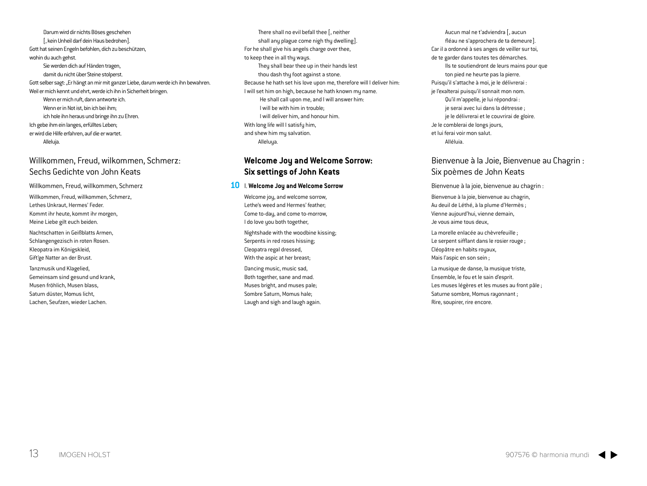Darum wird dir nichts Böses geschehen [, kein Unheil darf dein Haus bedrohen]. Gott hat seinen Engeln befohlen, dich zu beschützen, wohin du auch gehst. Sie werden dich auf Händen tragen, damit du nicht über Steine stolperst. Gott selber sagt: "Er hängt an mir mit ganzer Liebe, darum werde ich ihn bewahren. Weil er mich kennt und ehrt, werde ich ihn in Sicherheit bringen. Wenn er mich ruft, dann antworte ich. Wenn er in Not ist, bin ich bei ihm; ich hole ihn heraus und bringe ihn zu Ehren. Ich gebe ihm ein langes, erfülltes Leben; er wird die Hilfe erfahren, auf die er wartet. Alleluja.

## Willkommen, Freud, wilkommen, Schmerz: Sechs Gedichte von John Keats

Willkommen, Freud, willkommen, Schmerz Willkommen, Freud, willkommen, Schmerz, Lethes Unkraut, Hermes' Feder. Kommt ihr heute, kommt ihr morgen, Meine Liebe gilt euch beiden.

Nachtschatten in Geißblatts Armen, Schlangengezisch in roten Rosen. Kleopatra im Königskleid, Gift'ge Natter an der Brust.

Tanzmusik und Klagelied, Gemeinsam sind gesund und krank, Musen fröhlich, Musen blass, Saturn düster, Momus licht, Lachen, Seufzen, wieder Lachen.

There shall no evil befall thee [, neither shall any plague come nigh thy dwelling]. For he shall give his angels charge over thee, to keep thee in all thu waus. They shall bear thee up in their hands lest thou dash thy foot against a stone. Because he hath set his love upon me, therefore will I deliver him: I will set him on high, because he hath known my name. He shall call upon me, and I will answer him: I will be with him in trouble; I will deliver him, and honour him. With long life will I satisfu him. and shew him my salvation. Alleluya.

## **Welcome Joy and Welcome Sorrow: Six settings of John Keats**

#### **10** I. **Welcome Joy and Welcome Sorrow**

Welcome joy, and welcome sorrow, Lethe's weed and Hermes' feather; Come to-day, and come to-morrow, I do love you both together,

Nightshade with the woodbine kissing; Serpents in red roses hissing; Cleopatra regal dressed, With the aspic at her breast;

Dancing music, music sad, Both together, sane and mad. Muses bright, and muses pale; Sombre Saturn, Momus hale; Laugh and sigh and laugh again.

Aucun mal ne t'adviendra [, aucun fléau ne s'approchera de ta demeure]. Car il a ordonné à ses anges de veiller sur toi, de te garder dans toutes tes démarches. Ils te soutiendront de leurs mains pour que ton pied ne heurte pas la pierre. Puisqu'il s'attache à moi, je le délivrerai : je l'exalterai puisqu'il sonnait mon nom. Qu'il m'appelle, je lui répondrai : je serai avec lui dans la détresse ; je le délivrerai et le couvrirai de gloire. Je le comblerai de longs jours, et lui ferai voir mon salut. Alléluia.

## Bienvenue à la Joie, Bienvenue au Chagrin : Six poèmes de John Keats

Bienvenue à la joie, bienvenue au chagrin :

Bienvenue à la joie, bienvenue au chagrin, Au deuil de Léthé, à la plume d'Hermès ; Vienne aujourd'hui, vienne demain, Je vous aime tous deux,

La morelle enlacée au chèvrefeuille ; Le serpent sifflant dans le rosier rouge ; Cléopâtre en habits royaux, Mais l'aspic en son sein ;

La musique de danse, la musique triste, Ensemble, le fou et le sain d'esprit. Les muses légères et les muses au front pâle ; Saturne sombre, Momus rayonnant ; Rire, soupirer, rire encore.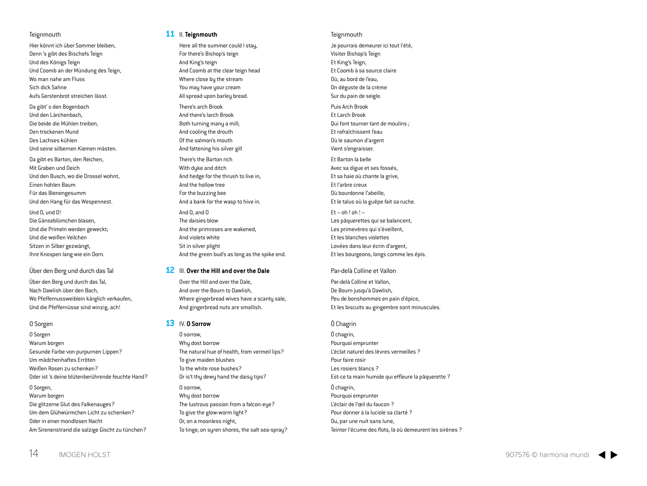#### **Teignmouth**

Hier könnt ich über Sommer bleiben, Denn 's gibt des Bischofs Teign Und des Königs Teign Und Coomb an der Mündung des Teign, Wo man nahe am Fluss Sich dick Sahne Aufs Gerstenbrot streichen lässt.

Da gibt' s den Bogenbach Und den Lärchenbach, Die beide die Mühlen treiben, Den trockenen Mund Des Lachses kühlen Und seine silbernen Kiemen mästen.

Da gibt es Barton, den Reichen, Mit Graben und Deich Und den Busch, wo die Drossel wohnt, Einen hohlen Baum Für das Bienengesumm Und den Hang für das Wespennest. Und O, und O! Die Gänseblümchen blasen, Und die Primeln werden geweckt; Und die weißen Veilchen Sitzen in Silber gezwängt, Ihre Knospen lang wie ein Dorn.

Über den Berg und durch das Tal **12** Über den Berg und durch das Tal, Nach Dawlish über den Bach, Wo Pfeffernussweiblein kärglich verkaufen,

Und die Pfeffernüsse sind winzig, ach!

O Sorgen

O Sorgen Warum borgen Gesunde Farbe von purpurnen Lippen? Um mädchenhaftes Erröten Weißen Rosen zu schenken? Oder ist 's deine blütenberührende feuchte Hand? O Sorgen, Warum borgen Die glitzerne Glut des Falkenauges? Um dem Glühwürmchen Licht zu schenken? Oder in einer mondlosen Nacht Am Sirenenstrand die salzige Gischt zu tünchen?

#### **11** II. **Teignmouth**

Here all the summer could I stay, For there's Bishop's teign And King's teign And Coomb at the clear teign head Where close by the stream You may have your cream All spread upon barley bread.

There's arch Brook And there's larch Brook Both turning many a mill; And cooling the drouth Of the salmon's mouth And fattening his silver gill

There's the Barton rich With dyke and ditch And hedge for the thrush to live in, And the hollow tree For the buzzing bee And a bank for the wasp to hive in. And O, and O The daisies blow And the primroses are wakened, And violets white Sit in silver plight And the green bud's as long as the spike end.

#### **12** III. **Over the Hill and over the Dale**

Over the Hill and over the Dale, And over the Bourn to Dawlish, Where gingerbread wives have a scanty sale, And gingerbread nuts are smallish.

#### **13** IV. **O Sorrow**

O sorrow, Why dost borrow The natural hue of health, from vermeil lips? To give maiden blushes To the white rose bushes? Or is't thy dewy hand the daisy tips? O sorrow,

Why dost borrow The lustrous passion from a falcon-eye? To give the glow-worm light? Or, on a moonless night, To tinge, on syren shores, the salt sea-spray?

#### **Teignmouth**

Je pourrais demeurer ici tout l'été, Visiter Bishop's Teign Et King's Teign, Et Coomb à sa source claire Où, au bord de l'eau, On déguste de la crème Sur du pain de seigle. Puis Arch Brook Et Larch Brook Qui font tourner tant de moulins ; Et rafraîchissent l'eau Où le saumon d'argent Vient s'engraisser. Et Barton la belle Avec sa digue et ses fossés, Et sa haie où chante la grive, Et l'arbre creux Où bourdonne l'abeille, Et le talus où la guêpe fait sa ruche.  $Et - oh! oh! -$ Les pâquerettes qui se balancent, Les primevères qui s'éveillent, Et les blanches violettes Lovées dans leur écrin d'argent, Et les bourgeons, longs comme les épis.

#### Par-delà Colline et Vallon

Par-delà Colline et Vallon, De Bourn jusqu'à Dawlish, Peu de bonshommes en pain d'épice, Et les biscuits au gingembre sont minuscules.

#### Ô Chagrin

Ô chagrin, Pourquoi emprunter L'éclat naturel des lèvres vermeilles ? Pour faire rosir Les rosiers blancs ? Est-ce ta main humide qui effleure la pâquerette ? Ô chagrin, Pourquoi emprunter

L'éclair de l'œil du faucon ? Pour donner à la luciole sa clarté ? Ou, par une nuit sans lune, Teinter l'écume des flots, là où demeurent les sirènes ?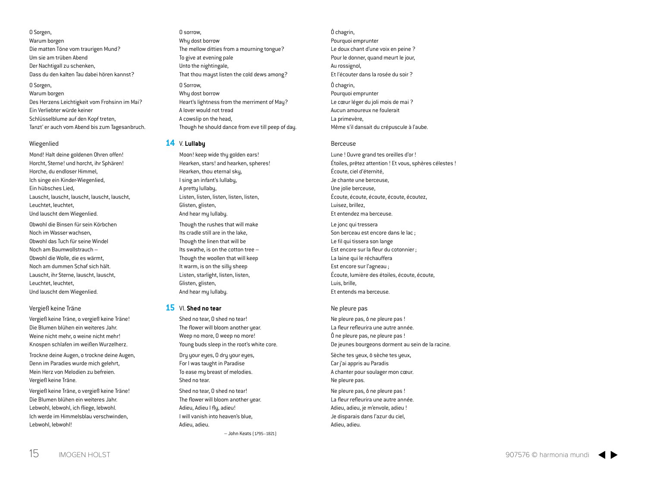O Sorgen, Warum borgen Die matten Töne vom traurigen Mund? Um sie am trüben Abend Der Nachtigall zu schenken, Dass du den kalten Tau dabei hören kannst? O Sorgen, Warum borgen Des Herzens Leichtigkeit vom Frohsinn im Mai? Ein Verliebter würde keiner Schlüsselblume auf den Kopf treten Tanzt' er auch vom Abend bis zum Tagesanbruch.

#### Wiegenlied

Mond! Halt deine goldenen Ohren offen! Horcht, Sterne! und horcht, ihr Sphären! Horche, du endloser Himmel, Ich singe ein Kinder-Wiegenlied, Ein hübsches Lied, Lauscht, lauscht, lauscht, lauscht, lauscht, Leuchtet, leuchtet, Und lauscht dem Wiegenlied.

Obwohl die Binsen für sein Körbchen Noch im Wasser wachsen, Obwohl das Tuch für seine Windel Noch am Baumwollstrauch – Obwohl die Wolle, die es wärmt, Noch am dummen Schaf sich hält. Lauscht, ihr Sterne, lauscht, lauscht, Leuchtet, leuchtet, Und lauscht dem Wiegenlied.

#### Vergieß keine Träne

Vergieß keine Träne, o vergieß keine Träne! Die Blumen blühen ein weiteres Jahr. Weine nicht mehr, o weine nicht mehr! Knospen schlafen im weißen Wurzelherz.

Trockne deine Augen, o trockne deine Augen, Denn im Paradies wurde mich gelehrt, Mein Herz von Melodien zu befreien. Vergieß keine Träne.

Vergieß keine Träne, o vergieß keine Träne! Die Blumen blühen ein weiteres Jahr. Lebwohl, lebwohl, ich fliege, lebwohl. Ich werde im Himmelsblau verschwinden, Lebwohl, lebwohl!

O sorrow, Why dost borrow The mellow ditties from a mourning tongue? To give at evening pale Unto the nightingale, That thou mayst listen the cold dews among? O Sorrow, Why dost borrow Heart's lightness from the merriment of May? A lover would not tread A cowslip on the head, Though he should dance from eve till peep of day.

#### **14** V. **Lullaby**

Moon! keep wide thy golden ears! Hearken, stars! and hearken, spheres! Hearken, thou eternal sky, I sing an infant's lullaby, A pretty lullaby, Listen, listen, listen, listen, listen, Glisten, glisten, And hear my lullaby.

Though the rushes that will make Its cradle still are in the lake, Though the linen that will be Its swathe, is on the cotton tree – Though the woollen that will keep It warm, is on the silly sheep Listen, starlight, listen, listen, Glisten, glisten, And hear my lullaby.

#### **15** VI. **Shed no tear**

Shed no tear, O shed no tear! The flower will bloom another year. Weep no more, O weep no more! Young buds sleep in the root's white core.

Dry your eyes, O dry your eyes, For I was taught in Paradise To ease my breast of melodies. Shed no tear.

Shed no tear, D shed no tear! The flower will bloom another year. Adieu, Adieu I flu, adieu! I will vanish into heaven's blue, Adieu, adieu. – John Keats (1795–1821) Ô chagrin, Pourquoi emprunter Le doux chant d'une voix en peine ? Pour le donner, quand meurt le jour, Au rossignol, Et l'écouter dans la rosée du soir ? Ô chagrin, Pourquoi emprunter Le cœur léger du joli mois de mai ? Aucun amoureux ne foulerait La primevère,

Même s'il dansait du crépuscule à l'aube.

#### Berceuse

Lune ! Ouvre grand tes oreilles d'or ! Étoiles, prêtez attention ! Et vous, sphères célestes ! Écoute, ciel d'éternité, Je chante une berceuse, Une jolie berceuse, Écoute, écoute, écoute, écoute, écoutez, Luisez, brillez, Et entendez ma berceuse.

Le jonc qui tressera Son berceau est encore dans le lac ; Le fil qui tissera son lange Est encore sur la fleur du cotonnier ; La laine qui le réchauffera Est encore sur l'agneau ; Écoute, lumière des étoiles, écoute, écoute, Luis, brille, Et entends ma berceuse.

#### Ne pleure pas

Ne pleure pas, ô ne pleure pas ! La fleur refleurira une autre année. Ô ne pleure pas, ne pleure pas ! De jeunes bourgeons dorment au sein de la racine.

Sèche tes yeux, ô sèche tes yeux, Car j'ai appris au Paradis A chanter pour soulager mon cœur. Ne pleure pas.

Ne pleure pas, ô ne pleure pas ! La fleur refleurira une autre année. Adieu, adieu, je m'envole, adieu ! Je disparais dans l'azur du ciel, Adieu, adieu.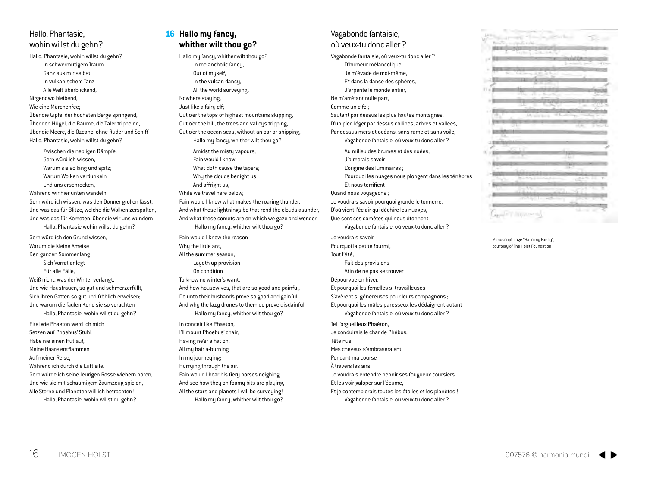## Hallo, Phantasie, wohin willst du gehn?

Hallo, Phantasie, wohin willst du gehn? In schwermütigem Traum Ganz aus mir selbst In vulkanischem Tanz Alle Welt überblickend, Nirgendwo bleibend, Wie eine Märchenfee; Über die Gipfel der höchsten Berge springend, Über den Hügel, die Bäume, die Täler trippelnd, Über die Meere, die Ozeane, ohne Ruder und Schiff – Hallo, Phantasie, wohin willst du gehn? Zwischen die nebligen Dämpfe, Gern würd ich wissen, Warum sie so lang und spitz;

 Warum Wolken verdunkeln Und uns erschrecken, Während wir hier unten wandeln. Gern würd ich wissen, was den Donner grollen lässt, Und was das für Blitze, welche die Wolken zerspalten, Und was das für Kometen, über die wir uns wundern – Hallo, Phantasie wohin willst du gehn?

Gern würd ich den Grund wissen, Warum die kleine Ameise Den ganzen Sommer lang Sich Vorrat anlegt Für alle Fälle, Weiß nicht, was der Winter verlangt. Und wie Hausfrauen, so gut und schmerzerfüllt, Sich ihren Gatten so gut und fröhlich erweisen; Und warum die faulen Kerle sie so verachten – Hallo, Phantasie, wohin willst du gehn?

Eitel wie Phaeton werd ich mich Setzen auf Phoebus' Stuhl: Habe nie einen Hut auf, Meine Haare entflammen Auf meiner Reise, Während ich durch die Luft eile. Gern würde ich seine feurigen Rosse wiehern hören, Und wie sie mit schaumigem Zaumzeug spielen, Alle Sterne und Planeten will ich betrachten! – Hallo, Phantasie, wohin willst du gehn?

## **16 Hallo my fancy, whither wilt thou go?**

Hallo mu fancu, whither wilt thou go? In melancholic fancy, Out of myself, In the vulcan dancy, All the world surveying, Nowhere staying, Just like a fairy elf; Out o'er the tops of highest mountains skipping, Out o'er the hill, the trees and valleys tripping, Out o'er the ocean seas, without an oar or shipping, – Hallo my fancy, whither wilt thou go? Amidst the misty vapours, Fain would I know What doth cause the tapers; Why the clouds benight us And affright us, While we travel here below; Fain would I know what makes the roaring thunder, And what these lightnings be that rend the clouds asunder, And what these comets are on which we gaze and wonder – Hallo my fancy, whither wilt thou go? Fain would I know the reason Why the little ant, All the summer season, Layeth up provision On condition To know no winter's want. And how housewives, that are so good and painful, Do unto their husbands prove so good and gainful;

And why the lazy drones to them do prove disdainful – Hallo my fancy, whither wilt thou go?

In conceit like Phaeton, I'll mount Phoebus' chair; Having ne'er a hat on, All my hair a-burning In my journeying; Hurrying through the air. Fain would I hear his fiery horses neighing And see how they on foamy bits are playing, All the stars and planets I will be surveying! – Hallo my fancy, whither wilt thou go?

## Vagabonde fantaisie,

où veux-tu donc aller ?

Vagabonde fantaisie, où veux-tu donc aller ? D'humeur mélancolique, Je m'évade de moi-même, Et dans la danse des sphères, J'arpente le monde entier, Ne m'arrêtant nulle part, Comme un elfe ; Sautant par dessus les plus hautes montagnes, D'un pied léger par dessus collines, arbres et vallées, Par dessus mers et océans, sans rame et sans voile, – Vagabonde fantaisie, où veux-tu donc aller ? Au milieu des brumes et des nuées, J'aimerais savoir L'origine des luminaires ; Pourquoi les nuages nous plongent dans les ténèbres Et nous terrifient Quand nous voyageons ; Je voudrais savoir pourquoi gronde le tonnerre, D'où vient l'éclair qui déchire les nuages, Que sont ces comètes qui nous étonnent – Vagabonde fantaisie, où veux-tu donc aller ? Je voudrais savoir Pourquoi la petite fourmi,

Tout l'été, Fait des provisions Afin de ne pas se trouver Dépourvue en hiver. Et pourquoi les femelles si travailleuses S'avèrent si généreuses pour leurs compagnons ; Et pourquoi les mâles paresseux les dédaignent autant– Vagabonde fantaisie, où veux-tu donc aller ?

Tel l'orgueilleux Phaéton, Je conduirais le char de Phébus; Tête nue, Mes cheveux s'embraseraient Pendant ma course À travers les airs. Je voudrais entendre hennir ses fougueux coursiers Et les voir galoper sur l'écume, Et je contemplerais toutes les étoiles et les planètes ! – Vagabonde fantaisie, où veux-tu donc aller ?

|       |                 | ÷  |   |
|-------|-----------------|----|---|
|       | a' a list       |    |   |
|       | HIT             |    |   |
|       |                 |    |   |
|       |                 |    |   |
|       |                 |    |   |
|       |                 |    |   |
|       | - 1             |    |   |
|       |                 |    |   |
| w     |                 |    |   |
|       |                 | z  |   |
|       |                 |    |   |
|       |                 |    | ÷ |
|       |                 |    |   |
|       |                 |    |   |
|       |                 |    | r |
|       |                 |    | Ξ |
|       |                 |    |   |
|       | l =<br>m        |    | с |
| and i | <b>Mittered</b> | ÷. | × |
|       |                 |    |   |

Manuscript page "Hallo my Fancy", courtesy of The Holst Foundation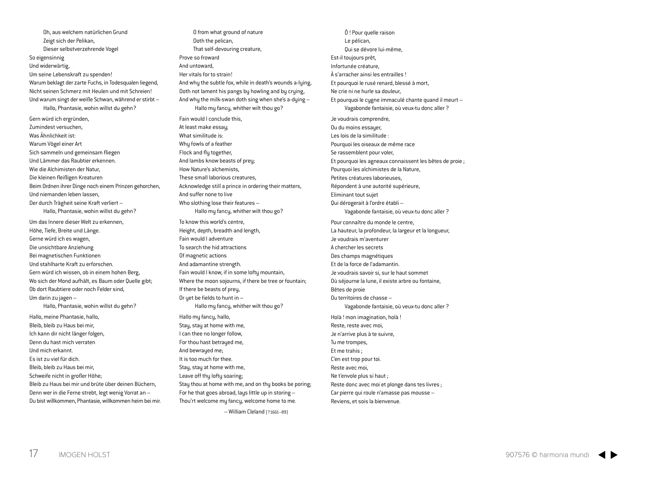Oh, aus welchem natürlichen Grund Zeigt sich der Pelikan, Dieser selbstverzehrende Vogel So eigensinnig Und widerwärtig, Um seine Lebenskraft zu spenden! Warum beklagt der zarte Fuchs, in Todesqualen liegend, Nicht seinen Schmerz mit Heulen und mit Schreien! Und warum singt der weiße Schwan, während er stirbt – Hallo, Phantasie, wohin willst du gehn? Gern würd ich ergründen, Zumindest versuchen, Was Ähnlichkeit ist: Warum Vögel einer Art Sich sammeln und gemeinsam fliegen Und Lämmer das Raubtier erkennen. Wie die Alchimisten der Natur, Die kleinen fleißigen Kreaturen Beim Ordnen ihrer Dinge noch einem Prinzen gehorchen, Und niemanden leben lassen, Der durch Trägheit seine Kraft verliert – Hallo, Phantasie, wohin willst du gehn? Um das Innere dieser Welt zu erkennen, Höhe, Tiefe, Breite und Länge. Gerne würd ich es wagen, Die unsichtbare Anziehung Bei magnetischen Funktionen Und stahlharte Kraft zu erforschen. Gern würd ich wissen, ob in einem hohen Berg, Wo sich der Mond aufhält, es Baum oder Quelle gibt; Ob dort Raubtiere oder noch Felder sind, Um darin zu jagen – Hallo, Phantasie, wohin willst du gehn? Hallo, meine Phantasie, hallo, Bleib, bleib zu Haus bei mir, Ich kann dir nicht länger folgen, Denn du hast mich verraten Und mich erkannt. Es ist zu viel für dich.

Bleib, bleib zu Haus bei mir, Schweife nicht in großer Höhe; Bleib zu Haus bei mir und brüte über deinen Büchern, Denn wer in die Ferne strebt, legt wenig Vorrat an – Du bist willkommen, Phantasie, willkommen heim bei mir.

O from what ground of nature Doth the pelican, That self-devouring creature, Prove so froward And untoward, Her vitals for to strain! And why the subtle fox, while in death's wounds a-lying, Doth not lament his pangs by howling and by crying, And why the milk-swan doth sing when she's a-dying – Hallo my fancy, whither wilt thou go? Fain would I conclude this, At least make essay; What similitude is: Why fowls of a feather Flock and fly together, And lambs know beasts of prey; How Nature's alchemists, These small laborious creatures, Acknowledge still a prince in ordering their matters, And suffer none to live Who slothing lose their features – Hallo my fancy, whither wilt thou go? To know this world's centre, Height, depth, breadth and length, Fain would I adventure To search the hid attractions Of magnetic actions And adamantine strength. Fain would I know, if in some lofty mountain, Where the moon sojourns, if there be tree or fountain; If there be beasts of prey, Or yet be fields to hunt in  $-$  Hallo my fancy, whither wilt thou go? Hallo my fancy, hallo, Stay, stay at home with me, I can thee no longer follow, For thou hast betrayed me, And bewrayed me; It is too much for thee. Stay, stay at home with me, Leave off thy lofty soaring; Stay thou at home with me, and on thy books be poring; For he that goes abroad, lays little up in storing –

Thou'rt welcome my fancy, welcome home to me.

– William Cleland (?1661–89)

 Ô ! Pour quelle raison Le pélican, Qui se dévore lui-même, Est-il toujours prêt, Infortunée créature, À s'arracher ainsi les entrailles ! Et pourquoi le rusé renard, blessé à mort, Ne crie ni ne hurle sa douleur, Et pourquoi le cygne immaculé chante quand il meurt – Vagabonde fantaisie, où veux-tu donc aller ? Je voudrais comprendre, Ou du moins essayer, Les lois de la similitude : Pourquoi les oiseaux de même race Se rassemblent pour voler, Et pourquoi les agneaux connaissent les bêtes de proie ; Pourquoi les alchimistes de la Nature, Petites créatures laborieuses, Répondent à une autorité supérieure, Eliminant tout sujet Qui dérogerait à l'ordre établi – Vagabonde fantaisie, où veux-tu donc aller ? Pour connaître du monde le centre, La hauteur, la profondeur, la largeur et la longueur, Je voudrais m'aventurer A chercher les secrets Des champs magnétiques Et de la force de l'adamantin. Je voudrais savoir si, sur le haut sommet Où séjourne la lune, il existe arbre ou fontaine, Bêtes de proie Ou territoires de chasse – Vagabonde fantaisie, où veux-tu donc aller ? Holà ! mon imagination, holà ! Reste, reste avec moi, Je n'arrive plus à te suivre, Tu me trompes, Et me trahis ; C'en est trop pour toi. Reste avec moi, Ne t'envole plus si haut ; Reste donc avec moi et plonge dans tes livres ; Car pierre qui roule n'amasse pas mousse – Reviens, et sois la bienvenue.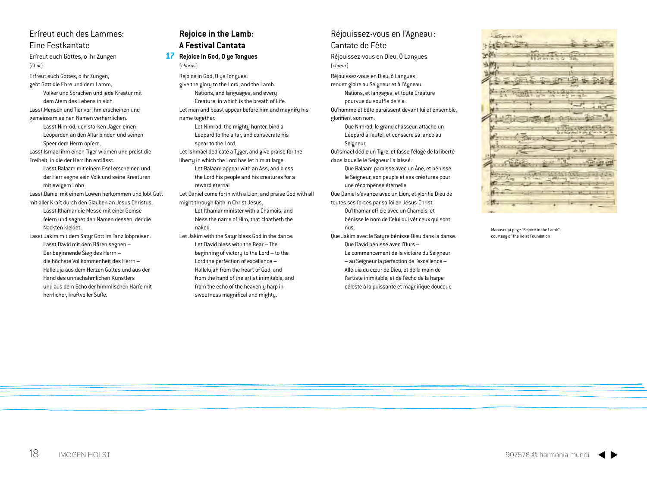## Erfreut euch des Lammes: Eine Festkantate

Erfreut euch Gottes, o ihr Zungen (*Chor*)

Erfreut euch Gottes, o ihr Zungen,

gebt Gott die Ehre und dem Lamm, Völker und Sprachen und jede Kreatur mit dem Atem des Lebens in sich. Lasst Mensch und Tier vor ihm erscheinen und gemeinsam seinen Namen verherrlichen. Lasst Nimrod, den starken Jäger, einen Leoparden an den Altar binden und seinen Speer dem Herrn opfern. Lasst Ismael ihm einen Tiger widmen und preist die Freiheit, in die der Herr ihn entlässt. Lasst Balaam mit einem Esel erscheinen und der Herr segne sein Volk und seine Kreaturen

 mit ewigem Lohn. Lasst Daniel mit einem Löwen herkommen und lobt Gott

- mit aller Kraft durch den Glauben an Jesus Christus. Lasst Ithamar die Messe mit einer Gemse feiern und segnet den Namen dessen, der die Nackten kleidet.
- Lasst Jakim mit dem Satyr Gott im Tanz lobpreisen. Lasst David mit dem Bären segnen – Der beginnende Sieg des Herrn – die höchste Vollkommenheit des Herrn – Halleluja aus dem Herzen Gottes und aus der Hand des unnachahmlichen Künstlers und aus dem Echo der himmlischen Harfe mit herrlicher, kraftvoller Süße.

## **Rejoice in the Lamb: A Festival Cantata**

- **17 Rejoice in God, O ye Tongues** (*chorus*)
	- Rejoice in God, O ye Tongues; give the glory to the Lord, and the Lamb. Nations, and languages, and every Creature, in which is the breath of Life. Let man and beast appear before him and magnify his name together. Let Nimrod, the mighty hunter, bind a Leopard to the altar, and consecrate his spear to the Lord. Let Ishmael dedicate a Tuger, and give praise for the liberty in which the Lord has let him at large. Let Balaam appear with an Ass, and bless
		- the Lord his people and his creatures for a reward eternal.

Let Daniel come forth with a Lion, and praise God with all might through faith in Christ Jesus.

- Let Ithamar minister with a Chamois, and bless the name of Him, that cloatheth the naked.
- Let Jakim with the Satyr bless God in the dance. Let David bless with the Bear – The beginning of victory to the Lord – to the Lord the perfection of excellence – Hallelujah from the heart of God, and from the hand of the artist inimitable, and from the echo of the heavenly harp in sweetness magnifical and mighty.

## Réjouissez-vous en l'Agneau :

## Cantate de Fête

Réjouissez-vous en Dieu, Ô Langues (*chœur*)

Réjouissez-vous en Dieu, ô Langues ;

rendez gloire au Seigneur et à l'Agneau. Nations, et langages, et toute Créature

 pourvue du souffle de Vie. Qu'homme et bête paraissent devant lui et ensemble,

glorifient son nom.

 Que Nimrod, le grand chasseur, attache un Léopard à l'autel, et consacre sa lance au Seigneur.

Qu'Ismaël dédie un Tigre, et fasse l'éloge de la liberté dans laquelle le Seigneur l'a laissé.

 Que Balaam paraisse avec un Âne, et bénisse le Seigneur, son peuple et ses créatures pour une récompense éternelle.

Que Daniel s'avance avec un Lion, et glorifie Dieu de

- toutes ses forces par sa foi en Jésus-Christ. Qu'Ithamar officie avec un Chamois, et bénisse le nom de Celui qui vêt ceux qui sont nus.
- Que Jakim avec le Satyre bénisse Dieu dans la danse. Que David bénisse avec l'Ours – Le commencement de la victoire du Seigneur – au Seigneur la perfection de l'excellence –
	- Alléluia du cœur de Dieu, et de la main de l'artiste inimitable, et de l'écho de la harpe céleste à la puissante et magnifique douceur.



Manuscript page "Rejoice in the Lamb", courtesy of The Holst Foundation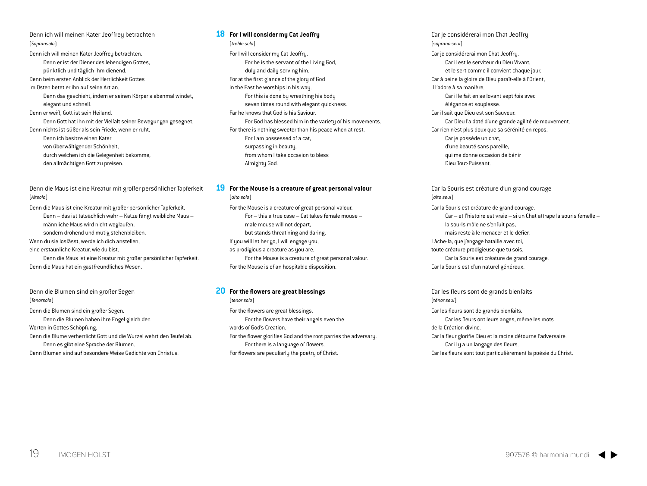#### Denn ich will meinen Kater Jeoffrey betrachten (*Sopransolo*)

Denn ich will meinen Kater Jeoffrey betrachten. Denn er ist der Diener des lebendigen Gottes, pünktlich und täglich ihm dienend. Denn beim ersten Anblick der Herrlichkeit Gottes im Osten betet er ihn auf seine Art an. Denn das geschieht, indem er seinen Körper siebenmal windet, elegant und schnell. Denn er weiß, Gott ist sein Heiland. Denn Gott hat ihn mit der Vielfalt seiner Bewegungen gesegnet. Denn nichts ist süßer als sein Friede, wenn er ruht. Denn ich besitze einen Kater von überwältigender Schönheit, durch welchen ich die Gelegenheit bekomme, den allmächtigen Gott zu preisen.

Denn die Maus ist eine Kreatur mit großer persönlicher Tapferkeit (*Altsolo*)

Denn die Maus ist eine Kreatur mit großer persönlicher Tapferkeit. Denn – das ist tatsächlich wahr – Katze fängt weibliche Maus – männliche Maus wird nicht weglaufen, sondern drohend und mutig stehenbleiben. Wenn du sie loslässt, werde ich dich anstellen, eine erstaunliche Kreatur, wie du bist. Denn die Maus ist eine Kreatur mit großer persönlicher Tapferkeit.

Denn die Maus hat ein gastfreundliches Wesen.

Denn die Blumen sind ein großer Segen (*Tenorsolo*)

Denn die Blumen sind ein großer Segen. Denn die Blumen haben ihre Engel gleich den Worten in Gottes Schöpfung. Denn die Blume verherrlicht Gott und die Wurzel wehrt den Teufel ab. Denn es gibt eine Sprache der Blumen. Denn Blumen sind auf besondere Weise Gedichte von Christus.

#### **18 For I will consider my Cat Jeoffry**

(*treble solo*)

For I will consider my Cat Jeoffry. For he is the servant of the Living God, duly and daily serving him. For at the first glance of the glory of God in the East he worships in his way. For this is done by wreathing his body seven times round with elegant quickness. Far he knows that God is his Saviour. For God has blessed him in the variety of his movements. For there is nothing sweeter than his peace when at rest. For I am possessed of a cat, surpassing in beauty, from whom I take occasion to bless Almighty God.

#### **19 For the Mouse is a creature of great personal valour**

(*alto solo*)

For the Mouse is a creature of great personal valour. For – this a true case – Cat takes female mouse – male mouse will not depart, but stands threat'ning and daring. If you will let her go, I will engage you, as prodigious a creature as you are. For the Mouse is a creature of great personal valour. For the Mouse is of an hospitable disposition.

#### **20 For the flowers are great blessings**

 (*tenor solo*) For the flowers are great blessings. For the flowers have their angels even the words of God's Creation. For the flower glorifies God and the root parries the adversary. For there is a language of flowers. For flowers are peculiarly the poetry of Christ.

Car je considérerai mon Chat Jeoffry (*soprano seul*) Car je considérerai mon Chat Jeoffry. Car il est le serviteur du Dieu Vivant, et le sert comme il convient chaque jour. Car à peine la gloire de Dieu paraît-elle à l'Orient, il l'adore à sa manière. Car il le fait en se lovant sept fois avec élégance et souplesse. Car il sait que Dieu est son Sauveur. Car Dieu l'a doté d'une grande agilité de mouvement. Car rien n'est plus doux que sa sérénité en repos. Car je possède un chat, d'une beauté sans pareille, qui me donne occasion de bénir Dieu Tout-Puissant.

Car la Souris est créature d'un grand courage (*alto seul*)

Car la Souris est créature de grand courage. Car – et l'histoire est vraie – si un Chat attrape la souris femelle – la souris mâle ne s'enfuit pas, mais reste à le menacer et le défier. Lâche-la, que j'engage bataille avec toi, toute créature prodigieuse que tu sois. Car la Souris est créature de grand courage. Car la Souris est d'un naturel généreux.

Car les fleurs sont de grands bienfaits (*ténor seul*) Car les fleurs sont de grands bienfaits. Car les fleurs ont leurs anges, même les mots de la Création divine. Car la fleur glorifie Dieu et la racine détourne l'adversaire. Car il y a un langage des fleurs. Car les fleurs sont tout particulièrement la poésie du Christ.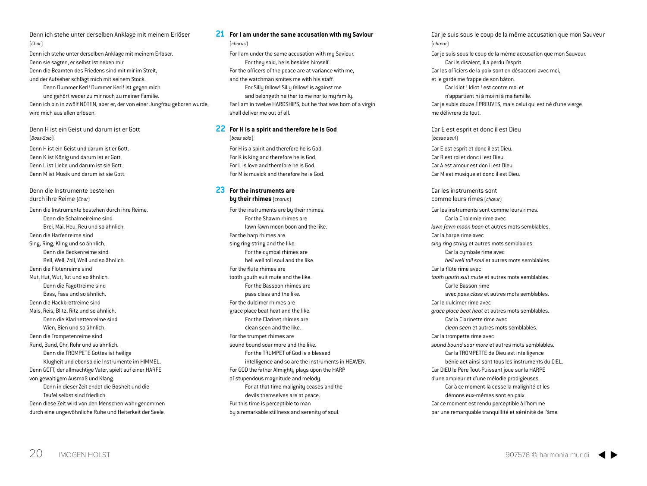Denn ich stehe unter derselben Anklage mit meinem Erlöser (*Chor*)

Denn ich stehe unter derselben Anklage mit meinem Erlöser. Denn sie sagten, er selbst ist neben mir. Denn die Beamten des Friedens sind mit mir im Streit, und der Aufseher schlägt mich mit seinem Stock. Denn Dummer Kerl! Dummer Kerl! ist gegen mich und gehört weder zu mir noch zu meiner Familie. Denn ich bin in zwölf NÖTEN, aber er, der von einer Jungfrau geboren wurde,

wird mich aus allen erlösen.

Denn H ist ein Geist und darum ist er Gott (*Bass-Solo*)

Denn H ist ein Geist und darum ist er Gott. Denn K ist König und darum ist er Gott. Denn L ist Liebe und darum ist sie Gott. Denn M ist Musik und darum ist sie Gott.

Denn die Instrumente bestehen **23** durch ihre Reime (*Chor*) Denn die Instrumente bestehen durch ihre Reime. Denn die Schalmeireime sind Brei, Mai, Heu, Reu und so ähnlich. Denn die Harfenreime sind Sing, Ring, Kling und so ähnlich. Denn die Beckenreime sind Bell, Well, Zoll, Woll und so ähnlich. Denn die Flötenreime sind Mut, Hut, Wut, Tut und so ähnlich. Denn die Fagottreime sind Bass, Fass und so ähnlich. Denn die Hackbrettreime sind Mais, Reis, Blitz, Ritz und so ähnlich. Denn die Klarinettenreime sind Wien, Bien und so ähnlich. Denn die Trompetenreime sind Rund, Bund, Ohr, Rohr und so ähnlich. Denn die TROMPETE Gottes ist heilige Klugheit und ebenso die Instrumente im HIMMEL. Denn GOTT, der allmächtige Vater, spielt auf einer HARFE von gewaltigem Ausmaß und Klang. Denn in dieser Zeit endet die Bosheit und die Teufel selbst sind friedlich. Denn diese Zeit wird von den Menschen wahr-genommen durch eine ungewöhnliche Ruhe und Heiterkeit der Seele.

#### **21 For I am under the same accusation with my Saviour**

#### (*chorus*)

For I am under the same accusation with my Saviour. For they said, he is besides himself. For the officers of the peace are at variance with me, and the watchman smites me with his staff. For Silly fellow! Silly fellow! is against me and belongeth neither to me nor to my family. Far I am in twelve HARDSHIPS, but he that was born of a virgin shall deliver me out of all.

#### **22 For H is a spirit and therefore he is God**

 (*bass solo*) For H is a spirit and therefore he is God. For K is king and therefore he is God. For L is love and therefore he is God. For M is musick and therefore he is God.

## **23 For the instruments are**

 **by their rhimes** (*chorus*)

For the instruments are by their rhimes. For the Shawm rhimes are lawn fawn moon boon and the like. Far the harp rhimes are sing ring string and the like. For the cymbal rhimes are bell well toll soul and the like. For the flute rhimes are tooth youth suit mute and the like. For the Bassoon rhimes are pass class and the like. For the dulcimer rhimes are grace place beat heat and the like. For the Clarinet rhimes are clean seen and the like. For the trumpet rhimes are sound bound soar more and the like. For the TRUMPET of God is a blessed intelligence and so are the instruments in HEAVEN. For GOD the father Almighty plays upon the HARP of stupendous magnitude and melody. For at that time malignity ceases and the devils themselves are at peace. Fur this time is perceptible to man by a remarkable stillness and serenity of soul.

Car je suis sous le coup de la même accusation que mon Sauveur (*chœur*)

Car je suis sous le coup de la même accusation que mon Sauveur. Car ils disaient, il a perdu l'esprit. Car les officiers de la paix sont en désaccord avec moi, et le garde me frappe de son bâton. Car Idiot ! Idiot ! est contre moi et n'appartient ni à moi ni à ma famille. Car je subis douze ÉPREUVES, mais celui qui est né d'une vierge me délivrera de tout.

Car E est esprit et donc il est Dieu (*basse seul*) Car E est esprit et donc il est Dieu.

Car R est roi et donc il est Dieu. Car A est amour est don il est Dieu. Car M est musique et donc il est Dieu.

Car les instruments sont **23**

comme leurs rimes (*chœur*) Car les instruments sont comme leurs rimes. Car la Chalemie rime avec *lawn fawn moon boon* et autres mots semblables. Car la harpe rime avec *sing ring string* et autres mots semblables. Car la cymbale rime avec *bell well toll soul* et autres mots semblables. Car la flûte rime avec *tooth youth suit mute* et autres mots semblables. Car le Basson rime avec *pass class* et autres mots semblables. Car le dulcimer rime avec *grace place beat heat* et autres mots semblables. Car la Clarinette rime avec *clean seen* et autres mots semblables. Car la trompette rime avec *sound bound soar more* et autres mots semblables. Car la TROMPETTE de Dieu est intelligence bénie aet ainsi sont tous les instruments du CIEL. Car DIEU le Père Tout-Puissant joue sur la HARPE d'une ampleur et d'une mélodie prodigieuses. Car à ce moment-là cesse la malignité et les démons eux-mêmes sont en paix. Car ce moment est rendu perceptible à l'homme par une remarquable tranquillité et sérénité de l'âme.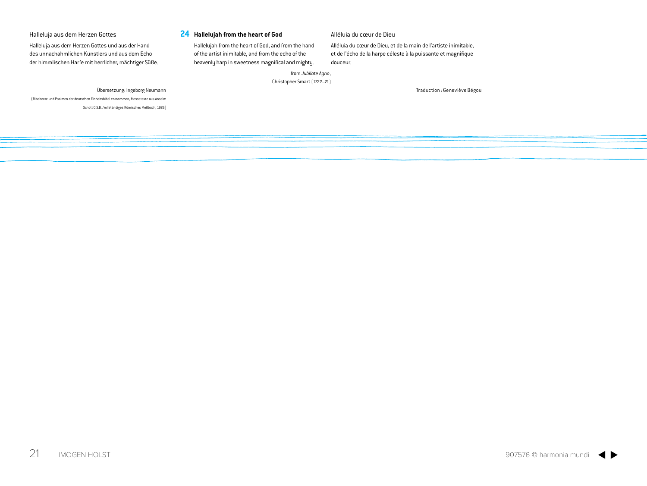#### Halleluja aus dem Herzen Gottes

Halleluja aus dem Herzen Gottes und aus der Hand des unnachahmlichen Künstlers und aus dem Echo der himmlischen Harfe mit herrlicher, mächtiger Süße.

#### Übersetzung: Ingeborg Neumann

(Bibeltexte und Psalmen der deutschen Einheitsbibel entnommen, Messetexte aus Anselm Schott O.S.B., Vollständiges Römisches Meßbuch, 1926)

### **24 Hallelujah from the heart of God**

Hallelujah from the heart of God, and from the hand of the artist inimitable, and from the echo of the heavenly harp in sweetness magnifical and mighty.

#### Alléluia du cœur de Dieu

Alléluia du cœur de Dieu, et de la main de l'artiste inimitable, et de l'écho de la harpe céleste à la puissante et magnifique douceur.

from *Jubilate Agno*,

Christopher Smart (1722–71)

Traduction : Geneviève Bégou

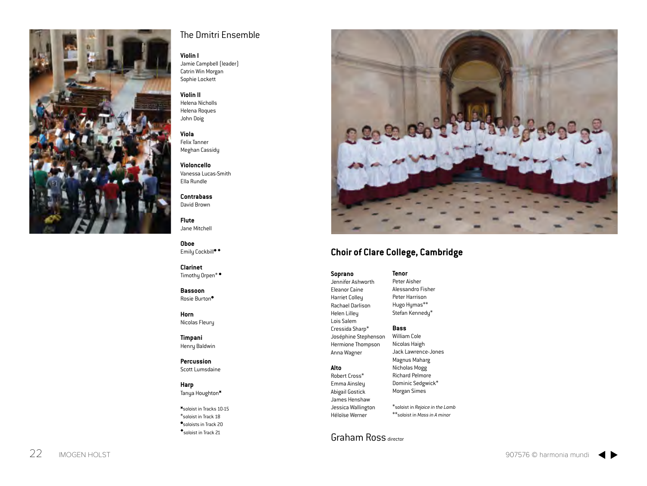

## The Dmitri Ensemble

#### **Violin I**

Jamie Campbell (leader) Catrin Win Morgan Sophie Lockett

#### **Violin II**

Helena Nicholls Helena Roques John Doig

#### **Viola**

Felix Tanner Meghan Cassidy

#### **Violoncello**

Vanessa Lucas-Smith Ella Rundle

**Contrabass** David Brown

**Flute** Jane Mitchell

**Oboe** Emily Cockbill<sup>o</sup>

**Clarinet** Timothy Orpen\*  $\bullet$ 

**Bassoon** Rosie Burton<sup>®</sup>

**Horn** Nicolas Fleury

**Timpani** Henry Baldwin

**Percussion** Scott Lumsdaine

**Harp** Tanya Houghton\*

\*soloist in Tracks 10-15 \*soloist in Track 18 <sup>l</sup>soloists in Track 20  $\bullet$ soloist in Track 21



## **Choir of Clare College, Cambridge**

**Tenor** Peter Aisher Alessandro Fisher

#### **Soprano** Jennifer Ashworth Eleanor Caine Harriet Colley

Rachael Darlison Peter Harrison Hugo Hymas\*\* Stefan Kennedy\*

#### Cressida Sharp\* **Bass**

Joséphine Stephenson Hermione Thompson Anna Wagner

Helen Lilley Lois Salem

**Alto**

Robert Cross\* Emma Ainsley Abigail Gostick James Henshaw Jessica Wallington Héloïse Werner

William Cole Nicolas Haigh Jack Lawrence-Jones Magnus Maharg Nicholas Mogg Richard Pelmore Dominic Sedgwick\* Morgan Simes \*soloist in *Rejoice in the Lamb*

\*\*soloist in *Mass in A minor*

Graham Ross director

22 IMOGEN HOLST 907576 © harmonia mundi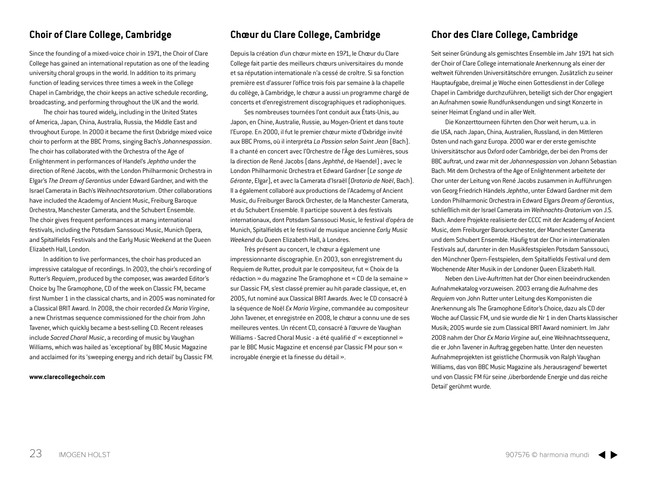## **Choir of Clare College, Cambridge**

Since the founding of a mixed-voice choir in 1971, the Choir of Clare College has gained an international reputation as one of the leading university choral groups in the world. In addition to its primary function of leading services three times a week in the College Chapel in Cambridge, the choir keeps an active schedule recording, broadcasting, and performing throughout the UK and the world.

The choir has toured widely, including in the United States of America, Japan, China, Australia, Russia, the Middle East and throughout Europe. In 2000 it became the first Oxbridge mixed voice choir to perform at the BBC Proms, singing Bach's *Johannespassion*. The choir has collaborated with the Orchestra of the Age of Enlightenment in performances of Handel's *Jephtha* under the direction of René Jacobs, with the London Philharmonic Orchestra in Elgar's *The Dream of Gerontius* under Edward Gardner, and with the Israel Camerata in Bach's *Weihnachtsoratorium*. Other collaborations have included the Academy of Ancient Music, Freiburg Baroque Orchestra, Manchester Camerata, and the Schubert Ensemble. The choir gives frequent performances at many international festivals, including the Potsdam Sanssouci Music, Munich Opera, and Spitalfields Festivals and the Early Music Weekend at the Queen Elizabeth Hall, London.

In addition to live performances, the choir has produced an impressive catalogue of recordings. In 2003, the choir's recording of Rutter's *Requiem*, produced by the composer, was awarded Editor's Choice by The Gramophone, CD of the week on Classic FM, became first Number 1 in the classical charts, and in 2005 was nominated for a Classical BRIT Award. In 2008, the choir recorded *Ex Maria Virgine*, a new Christmas sequence commissioned for the choir from John Tavener, which quickly became a best-selling CD. Recent releases include *Sacred Choral Music*, a recording of music by Vaughan Williams, which was hailed as 'exceptional' by BBC Music Magazine and acclaimed for its 'sweeping energy and rich detail' by Classic FM.

**www.clarecollegechoir.com**

## **Chœur du Clare College, Cambridge**

Depuis la création d'un chœur mixte en 1971, le Chœur du Clare College fait partie des meilleurs chœurs universitaires du monde et sa réputation internationale n'a cessé de croître. Si sa fonction première est d'assurer l'office trois fois par semaine à la chapelle du collège, à Cambridge, le chœur a aussi un programme chargé de concerts et d'enregistrement discographiques et radiophoniques.

Ses nombreuses tournées l'ont conduit aux États-Unis, au Japon, en Chine, Australie, Russie, au Moyen-Orient et dans toute l'Europe. En 2000, il fut le premier chœur mixte d'Oxbridge invité aux BBC Proms, où il interpréta *La Passion selon Saint Jean* (Bach). Il a chanté en concert avec l'Orchestre de l'Âge des Lumières, sous la direction de René Jacobs (dans *Jephthé*, de Haendel) ; avec le London Philharmonic Orchestra et Edward Gardner (*Le songe de Géronte*, Elgar), et avec la Camerata d'Israël (*Oratorio de Noël*, Bach). Il a également collaboré aux productions de l'Academy of Ancient Music, du Freiburger Barock Orchester, de la Manchester Camerata, et du Schubert Ensemble. Il participe souvent à des festivals internationaux, dont Potsdam Sanssouci Music, le festival d'opéra de Munich, Spitalfields et le festival de musique ancienne *Early Music Weekend* du Queen Elizabeth Hall, à Londres.

Très présent au concert, le chœur a également une impressionnante discographie. En 2003, son enregistrement du Requiem de Rutter, produit par le compositeur, fut « Choix de la rédaction » du magazine The Gramophone et « CD de la semaine » sur Classic FM, s'est classé premier au hit-parade classique, et, en 2005, fut nominé aux Classical BRIT Awards. Avec le CD consacré à la séquence de Noël *Ex Maria Virgine*, commandée au compositeur John Tavener, et enregistrée en 2008, le chœur a connu une de ses meilleures ventes. Un récent CD, consacré à l'œuvre de Vaughan Williams - Sacred Choral Music - a été qualifié d' « exceptionnel » par le BBC Music Magazine et encensé par Classic FM pour son « incroyable énergie et la finesse du détail ».

## **Chor des Clare College, Cambridge**

Seit seiner Gründung als gemischtes Ensemble im Jahr 1971 hat sich der Choir of Clare College internationale Anerkennung als einer der weltweit führenden Universitätschöre errungen. Zusätzlich zu seiner Hauptaufgabe, dreimal je Woche einen Gottesdienst in der College Chapel in Cambridge durchzuführen, beteiligt sich der Chor engagiert an Aufnahmen sowie Rundfunksendungen und singt Konzerte in seiner Heimat England und in aller Welt.

Die Konzerttourneen führten den Chor weit herum, u.a. in die USA, nach Japan, China, Australien, Russland, in den Mittleren Osten und nach ganz Europa. 2000 war er der erste gemischte Universitätschor aus Oxford oder Cambridge, der bei den Proms der BBC auftrat, und zwar mit der *Johannespassion* von Johann Sebastian Bach. Mit dem Orchestra of the Age of Enlightenment arbeitete der Chor unter der Leitung von René Jacobs zusammen in Aufführungen von Georg Friedrich Händels *Jephtha*, unter Edward Gardner mit dem London Philharmonic Orchestra in Edward Elgars *Dream of Gerontius*, schließlich mit der Israel Camerata im *Weihnachts-Oratorium* von J.S. Bach. Andere Projekte realisierte der CCCC mit der Academy of Ancient Music, dem Freiburger Barockorchester, der Manchester Camerata und dem Schubert Ensemble. Häufig trat der Chor in internationalen Festivals auf, darunter in den Musikfestspielen Potsdam Sanssouci, den Münchner Opern-Festspielen, dem Spitalfields Festival und dem Wochenende Alter Musik in der Londoner Queen Elizabeth Hall.

Neben den Live-Auftritten hat der Chor einen beeindruckenden Aufnahmekatalog vorzuweisen. 2003 errang die Aufnahme des *Requiem* von John Rutter unter Leitung des Komponisten die Anerkennung als The Gramophone Editor's Choice, dazu als CD der Woche auf Classic FM, und sie wurde die Nr 1 in den Charts klassischer Musik; 2005 wurde sie zum Classical BRIT Award nominiert. Im Jahr 2008 nahm der Chor *Ex Maria Virgine* auf, eine Weihnachtssequenz, die er John Tavener in Auftrag gegeben hatte. Unter den neuesten Aufnahmeprojekten ist geistliche Chormusik von Ralph Vaughan Williams, das von BBC Music Magazine als , herausragend' bewertet und von Classic FM für seine ,überbordende Energie und das reiche Detail' gerühmt wurde.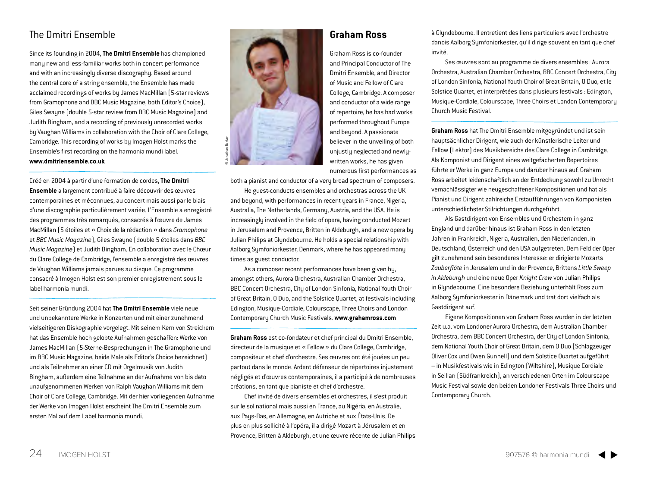## The Dmitri Ensemble

Since its founding in 2004, **The Dmitri Ensemble** has championed many new and less-familiar works both in concert performance and with an increasingly diverse discography. Based around the central core of a string ensemble, the Ensemble has made acclaimed recordings of works by James MacMillan (5-star reviews from Gramophone and BBC Music Magazine, both Editor's Choice), Giles Swayne (double 5-star review from BBC Music Magazine) and Judith Bingham, and a recording of previously unrecorded works by Vaughan Williams in collaboration with the Choir of Clare College, Cambridge. This recording of works by Imogen Holst marks the Ensemble's first recording on the harmonia mundi label. **www.dmitriensemble.co.uk**

Créé en 2004 à partir d'une formation de cordes, **The Dmitri Ensemble** a largement contribué à faire découvrir des œuvres contemporaines et méconnues, au concert mais aussi par le biais d'une discographie particulièrement variée. L'Ensemble a enregistré des programmes très remarqués, consacrés à l'œuvre de James MacMillan (5 étoiles et « Choix de la rédaction » dans *Gramophone* et *BBC Music Magazine*), Giles Swayne (double 5 étoiles dans *BBC Music Magazine*) et Judith Bingham. En collaboration avec le Chœur du Clare College de Cambridge, l'ensemble a enregistré des œuvres de Vaughan Williams jamais parues au disque. Ce programme consacré à Imogen Holst est son premier enregistrement sous le label harmonia mundi.

Seit seiner Gründung 2004 hat **The Dmitri Ensemble** viele neue und unbekanntere Werke in Konzerten und mit einer zunehmend vielseitigeren Diskographie vorgelegt. Mit seinem Kern von Streichern hat das Ensemble hoch gelobte Aufnahmen geschaffen: Werke von James MacMillan (5-Sterne-Besprechungen in The Gramophone und im BBC Music Magazine, beide Male als Editor's Choice bezeichnet) und als Teilnehmer an einer CD mit Orgelmusik von Judith Bingham, außerdem eine Teilnahme an der Aufnahme von bis dato unaufgenommenen Werken von Ralph Vaughan Williams mit dem Choir of Clare College, Cambridge. Mit der hier vorliegenden Aufnahme der Werke von Imogen Holst erscheint The Dmitri Ensemble zum ersten Mal auf dem Label harmonia mundi.



**Graham Ross**

Graham Ross is co-founder and Principal Conductor of The Dmitri Ensemble, and Director of Music and Fellow of Clare College, Cambridge. A composer and conductor of a wide range of repertoire, he has had works performed throughout Europe and beyond. A passionate believer in the unveiling of both unjustly neglected and newlywritten works, he has given numerous first performances as

both a pianist and conductor of a very broad spectrum of composers. He guest-conducts ensembles and orchestras across the UK and beyond, with performances in recent years in France, Nigeria, Australia, The Netherlands, Germany, Austria, and the USA. He is increasingly involved in the field of opera, having conducted Mozart in Jerusalem and Provence, Britten in Aldeburgh, and a new opera by Julian Philips at Glyndebourne. He holds a special relationship with Aalborg Symfoniorkester, Denmark, where he has appeared many times as guest conductor.

As a composer recent performances have been given by, amongst others, Aurora Orchestra, Australian Chamber Orchestra, BBC Concert Orchestra, City of London Sinfonia, National Youth Choir of Great Britain, O Duo, and the Solstice Quartet, at festivals including Edington, Musique-Cordiale, Colourscape, Three Choirs and London Contemporary Church Music Festivals. **www.grahamross.com**

**Graham Ross** est co-fondateur et chef principal du Dmitri Ensemble, directeur de la musique et « Fellow » du Clare College, Cambridge, compositeur et chef d'orchestre. Ses œuvres ont été jouées un peu partout dans le monde. Ardent défenseur de répertoires injustement négligés et d'œuvres contemporaines, il a participé à de nombreuses créations, en tant que pianiste et chef d'orchestre.

Chef invité de divers ensembles et orchestres, il s'est produit sur le sol national mais aussi en France, au Nigéria, en Australie, aux Pays-Bas, en Allemagne, en Autriche et aux États-Unis. De plus en plus sollicité à l'opéra, il a dirigé Mozart à Jérusalem et en Provence, Britten à Aldeburgh, et une œuvre récente de Julian Philips à Glyndebourne. Il entretient des liens particuliers avec l'orchestre danois Aalborg Symfoniorkester, qu'il dirige souvent en tant que chef invité.

Ses œuvres sont au programme de divers ensembles : Aurora Orchestra, Australian Chamber Orchestra, BBC Concert Orchestra, City of London Sinfonia, National Youth Choir of Great Britain, O Duo, et le Solstice Quartet, et interprétées dans plusieurs festivals : Edington, Musique-Cordiale, Colourscape, Three Choirs et London Contemporary Church Music Festival.

**Graham Ross** hat The Dmitri Ensemble mitgegründet und ist sein hauptsächlicher Dirigent, wie auch der künstlerische Leiter und Fellow (Lektor) des Musikbereichs des Clare College in Cambridge. Als Komponist und Dirigent eines weitgefächerten Repertoires führte er Werke in ganz Europa und darüber hinaus auf. Graham Ross arbeitet leidenschaftlich an der Entdeckung sowohl zu Unrecht vernachlässigter wie neugeschaffener Kompositionen und hat als Pianist und Dirigent zahlreiche Erstaufführungen von Komponisten unterschiedlichster Stilrichtungen durchgeführt.

Als Gastdirigent von Ensembles und Orchestern in ganz England und darüber hinaus ist Graham Ross in den letzten Jahren in Frankreich, Nigeria, Australien, den Niederlanden, in Deutschland, Österreich und den USA aufgetreten. Dem Feld der Oper gilt zunehmend sein besonderes Interesse: er dirigierte Mozarts *Zauberflöte* in Jerusalem und in der Provence, Brittens *Little Sweep in Aldeburgh* und eine neue Oper *Knight Crew* von Julian Philips in Glyndebourne. Eine besondere Beziehung unterhält Ross zum Aalborg Symfoniorkester in Dänemark und trat dort vielfach als Gastdirigent auf.

Eigene Kompositionen von Graham Ross wurden in der letzten Zeit u.a. vom Londoner Aurora Orchestra, dem Australian Chamber Orchestra, dem BBC Concert Orchestra, der City of London Sinfonia, dem National Youth Choir of Great Britain, dem O Duo (Schlagzeuger Oliver Cox und Owen Gunnell) und dem Solstice Quartet aufgeführt – in Musikfestivals wie in Edington (Wiltshire), Musique Cordiale in Seillan (Südfrankreich), an verschiedenen Orten im Colourscape Music Festival sowie den beiden Londoner Festivals Three Choirs und Contemporary Church.